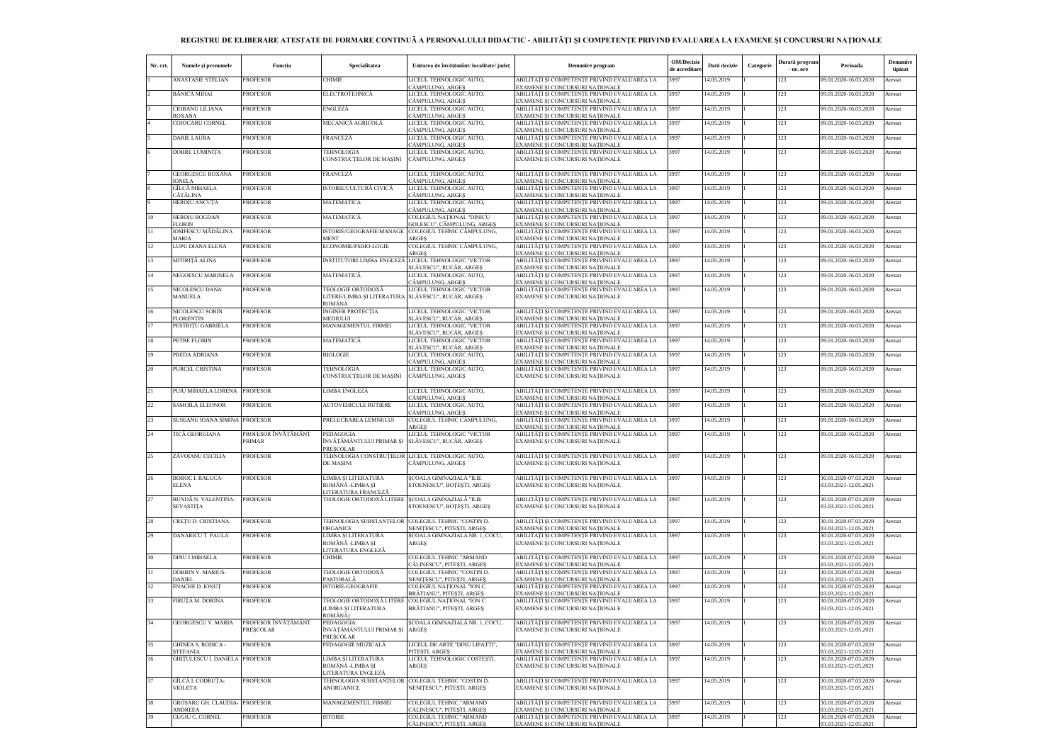## **REGISTRU DE ELIBERARE ATESTATE DE FORMARE CONTINUĂ A PERSONALULUI DIDACTIC - ABILITĂŢI ŞI COMPETENŢE PRIVIND EVALUAREA LA EXAMENE ŞI CONCURSURI NAŢIONALE**

| Nr. crt. | Numele și prenumele                          | Funcția                                 | Specialitatea                                                                     | Unitatea de învățământ/ localitate/ județ                       | Denumire program                                                                                                   | OM/Decizie<br>de acreditare | Dată decizie | Categorie | Durată program<br>- nr. ore | Perioada                                       | Denumire<br>tipizat |
|----------|----------------------------------------------|-----------------------------------------|-----------------------------------------------------------------------------------|-----------------------------------------------------------------|--------------------------------------------------------------------------------------------------------------------|-----------------------------|--------------|-----------|-----------------------------|------------------------------------------------|---------------------|
|          | ANASTASIE STELIAN                            | <b>PROFESOR</b>                         | <b>CHIMIE</b>                                                                     | LICEUL TEHNOLOGIC AUTO,<br>CÂMPULUNG, ARGES                     | ABILITĂȚI ȘI COMPETENȚE PRIVIND EVALUAREA LA<br>EXAMENE SI CONCURSURI NATIONALE                                    | 3997                        | 14.05.2019   |           | 123                         | 09.01.2020-16.03.2020                          | Atestat             |
|          | BĂNICĂ MIHAI                                 | <b>PROFESOR</b>                         | <b>ELECTROTEHNICĂ</b>                                                             | LICEUL TEHNOLOGIC AUTO,<br>CÂMPULUNG, ARGES                     | ABILITĂȚI ȘI COMPETENȚE PRIVIND EVALUAREA LA<br>EXAMENE ȘI CONCURSURI NAȚIONALE                                    | 3997                        | 14.05.2019   |           | 123                         | 09.01.2020-16.03.2020                          | Atestat             |
|          | CIOBANU LILIANA                              | <b>PROFESOR</b>                         | ENGLEZĂ                                                                           | LICEUL TEHNOLOGIC AUTO,                                         | ABILITĂȚI ȘI COMPETENȚE PRIVIND EVALUAREA LA                                                                       | 3997                        | 14.05.2019   |           | 123                         | 09.01.2020-16.03.2020                          | Atestat             |
|          | ROXANA<br>COJOCARU CORNEL                    | <b>PROFESOR</b>                         | MECANICĂ AGRICOLĂ                                                                 | CÂMPULUNG, ARGEȘ<br>LICEUL TEHNOLOGIC AUTO,<br>CÂMPULUNG, ARGEȘ | EXAMENE ȘI CONCURSURI NAȚIONALE<br>ABILITĂȚI ȘI COMPETENȚE PRIVIND EVALUAREA LA<br>EXAMENE ȘI CONCURSURI NAȚIONALE | 3997                        | 14.05.2019   |           | 123                         | 09.01.2020-16.03.2020                          | Atestat             |
|          | <b>DARIE LAURA</b>                           | <b>PROFESOR</b>                         | <b>FRANCEZĂ</b>                                                                   | LICEUL TEHNOLOGIC AUTO,                                         | ABILITĂȚI ȘI COMPETENȚE PRIVIND EVALUAREA LA                                                                       | 3997                        | 14.05.2019   |           | 123                         | 09.01.2020-16.03.2020                          | Atestat             |
|          | DOBRE LUMINIȚA                               | <b>PROFESOR</b>                         | TEHNOLOGIA<br>CONSTRUCTIILOR DE MASINI                                            | CÂMPULUNG, ARGES<br>LICEUL TEHNOLOGIC AUTO,<br>CÂMPULUNG, ARGES | EXAMENE ȘI CONCURSURI NAȚIONALE<br>ABILITĂȚI ȘI COMPETENȚE PRIVIND EVALUAREA LA<br>EXAMENE SI CONCURSURI NATIONALE | 3997                        | 14.05.2019   |           | 123                         | 09.01.2020-16.03.2020                          | Atestat             |
|          | <b>GEORGESCU ROXANA</b>                      | <b>PROFESOR</b>                         | FRANCEZĂ                                                                          | LICEUL TEHNOLOGIC AUTO,                                         | ABILITĂȚI ȘI COMPETENȚE PRIVIND EVALUAREA LA                                                                       | 3997                        | 14.05.2019   |           | 123                         | 09.01.2020-16.03.2020                          | Atestat             |
|          | IONELA<br>GÎLCĂ MIHAELA                      | <b>PROFESOR</b>                         | ISTORIE/CULTURĂ CIVICĂ                                                            | CÂMPULUNG, ARGES<br>LICEUL TEHNOLOGIC AUTO,                     | EXAMENE ȘI CONCURSURI NAȚIONALE<br>ABILITĂȚI ȘI COMPETENȚE PRIVIND EVALUAREA LA                                    | 3997                        | 14.05.2019   |           | 123                         | 09.01.2020-16.03.2020                          | Atestat             |
|          | CĂTĂLINA<br>HEROIU ANCUȚA                    | <b>PROFESOR</b>                         | MATEMATICĂ                                                                        | CÂMPULUNG, ARGES<br>LICEUL TEHNOLOGIC AUTO,                     | EXAMENE ȘI CONCURSURI NAȚIONALE<br>ABILITĂȚI ȘI COMPETENȚE PRIVIND EVALUAREA LA                                    | 3997                        | 14.05.2019   |           | 123                         | 09.01.2020-16.03.2020                          | Atestat             |
|          |                                              |                                         |                                                                                   | CÂMPULUNG, ARGEȘ                                                | EXAMENE ȘI CONCURSURI NAȚIONALE                                                                                    |                             |              |           |                             |                                                |                     |
| 10       | HEROIU BOGDAN<br><b>FLORIN</b>               | <b>PROFESOR</b>                         | MATEMATICĂ                                                                        | COLEGIUL NAȚIONAL "DINICU<br>GOLESCU", CÂMPULUNG, ARGEȘ         | ABILITĂȚI ȘI COMPETENȚE PRIVIND EVALUAREA LA<br>EXAMENE ȘI CONCURSURI NAȚIONALE                                    | 3997                        | 14.05.2019   |           | 123                         | 09.01.2020-16.03.2020                          | Atestat             |
| 11       | IOSIFESCU MĂDĂLINA<br><b>MARIA</b>           | <b>PROFESOR</b>                         | ISTORIE/GEOGRAFIE/MANAGE<br>MENT                                                  | COLEGIUL TEHNIC CÂMPULUNG,<br>ARGES                             | ABILITĂȚI ȘI COMPETENȚE PRIVIND EVALUAREA LA<br>EXAMENE ȘI CONCURSURI NAȚIONALE                                    | 3997                        | 14.05.2019   |           | 123                         | 09.01.2020-16.03.2020                          | Atestat             |
| 12       | LUPU DIANA ELENA                             | <b>PROFESOR</b>                         | ECONOMIE/PSIHO-LOGIE                                                              | COLEGIUL TEHNIC CÂMPULUNG,<br>ARGES                             | ABILITĂȚI ȘI COMPETENȚE PRIVIND EVALUAREA LA<br>EXAMENE ȘI CONCURSURI NAȚIONALE                                    | 3997                        | 14.05.2019   |           | 123                         | 09.01.2020-16.03.2020                          | Atestat             |
| 13       | MITIRITĂ ALINA                               | <b>PROFESOR</b>                         | INSTITUTORI-LIMBA ENGLEZĂ                                                         | LICEUL TEHNOLOGIC "VICTOR<br>SLĂVESCU", RUCĂR, ARGES            | ABILITĂȚI ȘI COMPETENȚE PRIVIND EVALUAREA LA<br>EXAMENE ȘI CONCURSURI NAȚIONALE                                    | 3997                        | 14.05.2019   |           | 123                         | 09.01.2020-16.03.2020                          | Atestat             |
| 14       | NEGOESCU MARINELA                            | <b>PROFESOR</b>                         | MATEMATICĂ                                                                        | LICEUL TEHNOLOGIC AUTO,<br>CÂMPULUNG, ARGEȘ                     | ABILITĂȚI ȘI COMPETENȚE PRIVIND EVALUAREA LA<br>EXAMENE SI CONCURSURI NATIONALE                                    | 3997                        | 14.05.2019   |           | 123                         | 09.01.2020-16.03.2020                          | Atestat             |
| 15       | NICOLESCU DANA<br><b>MANUELA</b>             | <b>PROFESOR</b>                         | TEOLOGIE ORTODOXĂ<br>LITERE/LIMBA ȘI LITERATURA SLĂVESCU", RUCĂR, ARGEȘ<br>ROMÂNĂ | LICEUL TEHNOLOGIC "VICTOR                                       | ABILITĂȚI ȘI COMPETENȚE PRIVIND EVALUAREA LA<br>EXAMENE ȘI CONCURSURI NAȚIONALE                                    | 3997                        | 14.05.2019   |           | 123                         | 09.01.2020-16.03.2020                          | Atestat             |
| 16       | NICOLESCU SORIN<br><b>FLORENTIN</b>          | <b>PROFESOR</b>                         | <b>INGINER PROTECTIA</b><br><b>MEDIULUI</b>                                       | LICEUL TEHNOLOGIC "VICTOR<br>SLĂVESCU", RUCĂR, ARGES            | ABILITĂȚI ȘI COMPETENȚE PRIVIND EVALUAREA LA<br>EXAMENE ȘI CONCURSURI NAȚIONALE                                    | 3997                        | 14.05.2019   |           | 123                         | 09.01.2020-16.03.2020                          | Atestat             |
| 17       | PESTRITU GABRIELA                            | <b>PROFESOR</b>                         | MANAGEMENTUL FIRMEI                                                               | LICEUL TEHNOLOGIC "VICTOR                                       | ABILITĂȚI ȘI COMPETENȚE PRIVIND EVALUAREA LA                                                                       | 3997                        | 14.05.2019   |           | 123                         | 09.01.2020-16.03.2020                          | Atestat             |
| 18       | PETRE FLORIN                                 | <b>PROFESOR</b>                         | MATEMATICĂ                                                                        | SLĂVESCU", RUCĂR, ARGES<br>LICEUL TEHNOLOGIC "VICTOR            | EXAMENE SI CONCURSURI NATIONALE<br>ABILITĂȚI ȘI COMPETENȚE PRIVIND EVALUAREA LA                                    | 3997                        | 14.05.2019   |           | 123                         | 09.01.2020-16.03.2020                          | Atestat             |
| 19       | PREDA ADRIANA                                | <b>PROFESOR</b>                         | <b>BIOLOGIE</b>                                                                   | SLĂVESCU", RUCĂR, ARGEȘ<br>LICEUL TEHNOLOGIC AUTO,              | EXAMENE ȘI CONCURSURI NAȚIONALE<br>ABILITĂȚI ȘI COMPETENȚE PRIVIND EVALUAREA LA                                    | 3997                        | 14.05.2019   |           | 123                         | 09.01.2020-16.03.2020                          | Atestat             |
| 20       | PURCEL CRISTINA                              | <b>PROFESOR</b>                         | TEHNOLOGIA<br>CONSTRUCTIILOR DE MAȘINI                                            | CÂMPULUNG, ARGES<br>LICEUL TEHNOLOGIC AUTO,<br>CÂMPULUNG, ARGEȘ | EXAMENE ȘI CONCURSURI NAȚIONALE<br>ABILITĂȚI ȘI COMPETENȚE PRIVIND EVALUAREA LA<br>EXAMENE ȘI CONCURSURI NAȚIONALE | 3997                        | 14.05.2019   |           | 123                         | 09.01.2020-16.03.2020                          | Atestat             |
| 21       | PUIU MIHAELA LORENA PROFESOR                 |                                         | LIMBA ENGLEZĂ                                                                     | LICEUL TEHNOLOGIC AUTO,                                         | ABILITĂȚI ȘI COMPETENȚE PRIVIND EVALUAREA LA                                                                       | 3997                        | 14.05.2019   |           | 123                         | 09.01.2020-16.03.2020                          | Atestat             |
| 22       | SAMOILĂ ELEONOR                              | <b>PROFESOR</b>                         | <b>AUTOVEHICULE RUTIERE</b>                                                       | CÂMPULUNG, ARGEȘ<br>LICEUL TEHNOLOGIC AUTO,                     | EXAMENE ȘI CONCURSURI NAȚIONALE<br>ABILITĂȚI ȘI COMPETENȚE PRIVIND EVALUAREA LA                                    | 3997                        | 14.05.2019   |           | 123                         | 09.01.2020-16.03.2020                          | Atestat             |
| 23       | SUSEANU IOANA SIMINA PROFESOR                |                                         | PRELUCRAREA LEMNULUI                                                              | CÂMPULUNG, ARGEȘ<br>COLEGIUL TEHNIC CÂMPULUNG,                  | EXAMENE SI CONCURSURI NATIONALE<br>ABILITĂȚI ȘI COMPETENȚE PRIVIND EVALUAREA LA                                    | 3997                        | 14.05.2019   |           | 123                         | 09.01.2020-16.03.2020                          | Atestat             |
| 24       | TICĂ GEORGIANA                               | PROFESOR ÎNVĂȚĂMÂNT                     | PEDAGOGIA                                                                         | <b>ARGES</b><br>LICEUL TEHNOLOGIC "VICTOR                       | EXAMENE SI CONCURSURI NATIONALE<br>ABILITĂȚI ȘI COMPETENȚE PRIVIND EVALUAREA LA                                    | 3997                        | 14.05.2019   |           | 123                         | 09.01.2020-16.03.2020                          | Atestat             |
|          |                                              | PRIMAR                                  | ÎNVĂȚĂMÂNTULUI PRIMAR ȘI    SLĂVESCU", RUCĂR, ARGEȘ<br><b>PRESCOLAR</b>           |                                                                 | EXAMENE ȘI CONCURSURI NAȚIONALE                                                                                    |                             |              |           |                             |                                                |                     |
|          | ZĂVOIANU CECILIA                             | <b>PROFESOR</b>                         | TEHNOLOGIA CONSTRUȚIILOR LICEUL TEHNOLOGIC AUTO,<br><b>DE MAŞINI</b>              | CÂMPULUNG, ARGEȘ                                                | ABILITĂȚI ȘI COMPETENȚE PRIVIND EVALUAREA LA<br>EXAMENE ȘI CONCURSURI NAȚIONALE                                    | 3997                        | 14.05.2019   |           | 123                         | 09.01.2020-16.03.2020                          | Atestat             |
| 26       | <b>BOBOC I. RALUCA-</b><br><b>ELENA</b>      | <b>PROFESOR</b>                         | LIMBA SI LITERATURA<br>ROMÂNĂ -LIMBA ȘI<br>LITERATURA FRANCEZĂ                    | SCOALA GIMNAZIALĂ "ILIE<br>STOENESCU", BOTEȘTI, ARGEȘ           | ABILITĂTI SI COMPETENTE PRIVIND EVALUAREA LA<br>EXAMENE ȘI CONCURSURI NAȚIONALE                                    | 3997                        | 14.05.2019   |           | 123                         | 30.01.2020-07.03.2020<br>03.03.2021-12.05.2021 | Atestat             |
| 27       | BUNDĂ N. VALENTINA-<br><b>SEVASTITA</b>      | <b>PROFESOR</b>                         | TEOLOGIE ORTODOXĂ LITERE SCOALA GIMNAZIALĂ "ILIE                                  | STOENESCU", BOTEȘTI, ARGEȘ                                      | ABILITĂȚI ȘI COMPETENȚE PRIVIND EVALUAREA LA<br>EXAMENE SI CONCURSURI NATIONALE                                    | 3997                        | 14.05.2019   |           | 123                         | 30.01.2020-07.03.2020<br>03.03.2021-12.05.2021 | Atestat             |
| 28       | CREȚU D. CRISTIANA                           | <b>PROFESOR</b>                         | TEHNOLOGIA SUBSTANTELOR COLEGIUL TEHNIC "COSTIN D.                                |                                                                 | ABILITĂȚI ȘI COMPETENȚE PRIVIND EVALUAREA LA                                                                       | 3997                        | 14.05.2019   |           | 123                         | 30.01.2020-07.03.2020                          | Atestat             |
| 29       | DĂNĂRICU T. PAULA                            | <b>PROFESOR</b>                         | ORGANICE<br>LIMBA ȘI LITERATURA                                                   | NENITESCU", PITESTI, ARGES<br>ȘCOALA GIMNAZIALĂ NR. 1, COCU,    | EXAMENE SI CONCURSURI NATIONALE<br>ABILITĂȚI ȘI COMPETENȚE PRIVIND EVALUAREA LA                                    | 3997                        | 14.05.2019   |           | 123                         | 03.03.2021-12.05.2021<br>30.01.2020-07.03.2020 | Atestat             |
| 30       | <b>DINU I MIHAELA</b>                        | <b>PROFESOR</b>                         | ROMÂNĂ -LIMBA ȘI<br>LITERATURA ENGLEZĂ<br><b>CHIMIE</b>                           | ARGES<br>COLEGIUL TEHNIC "ARMAND                                | EXAMENE ȘI CONCURSURI NAȚIONALE<br>ABILITĂȚI ȘI COMPETENȚE PRIVIND EVALUAREA LA                                    | 3997                        | 14.05.2019   |           | 123                         | 03.03.2021-12.05.2021<br>30.01.2020-07.03.2020 | Atestat             |
|          |                                              |                                         |                                                                                   | CĂLINESCU", PITESTI, ARGES                                      | EXAMENE SI CONCURSURI NATIONALE                                                                                    |                             |              |           |                             | 03.03.2021-12.05.2021                          |                     |
| 31       | <b>DOBRIN V. MARIUS-</b><br><b>DANIEL</b>    | <b>PROFESOR</b>                         | TEOLOGIE ORTODOXĂ<br>PASTORALĂ                                                    | COLEGIUL TEHNIC "COSTIN D.<br>NENIȚESCU", PITEȘTI, ARGEȘ        | ABILITĂȚI ȘI COMPETENȚE PRIVIND EVALUAREA LA<br>EXAMENE ȘI CONCURSURI NAȚIONALE                                    | 3997                        | 14.05.2019   |           | 123                         | 30.01.2020-07.03.2020<br>03.03.2021-12.05.2021 | Atestat             |
| 32       | <b>ENACHE D. IONUT</b>                       | <b>PROFESOR</b>                         | ISTORIE-GEOGRAFIE                                                                 | COLEGIUL NAȚIONAL "ION C.<br>BRĂTIANU", PITEȘTI, ARGEȘ          | ABILITĂȚI ȘI COMPETENȚE PRIVIND EVALUAREA LA<br>EXAMENE ȘI CONCURSURI NAȚIONALE                                    | 3997                        | 14.05.2019   |           | 123                         | 30.01.2020-07.03.2020<br>03.03.2021-12.05.2021 | Atestat             |
| 33       | FIRUȚĂ M. DORINA                             | <b>PROFESOR</b>                         | TEOLOGIE ORTODOXĂ LITERE<br>(LIMBA ȘI LITERATURA<br>ROMÂNĂ)                       | COLEGIUL NAȚIONAL "ION C.<br>BRĂTIANU", PITEȘTI, ARGEȘ          | ABILITĂȚI ȘI COMPETENȚE PRIVIND EVALUAREA LA<br>EXAMENE ȘI CONCURSURI NAȚIONALE                                    | 3997                        | 14.05.2019   |           | 123                         | 30.01.2020-07.03.2020<br>03.03.2021-12.05.2021 | Atestat             |
| 34       | <b>GEORGESCU V. MARIA</b>                    | PROFESOR ÎNVĂTĂMÂNT<br><b>PRESCOLAR</b> | PEDAGOGIA<br>ÎNVĂȚĂMÂNTULUI PRIMAR ȘI ARGEȘ<br><b>PRESCOLAR</b>                   | ȘCOALA GIMNAZIALĂ NR. 1, COCU,                                  | ABILITĂȚI ȘI COMPETENȚE PRIVIND EVALUAREA LA<br>EXAMENE ȘI CONCURSURI NAȚIONALE                                    | 3997                        | 14.05.2019   |           | 123                         | 30.01.2020-07.03.2020<br>03.03.2021-12.05.2021 | Atestat             |
| 35       | <b>GHINEA S. RODICA -</b><br><b>STEFANIA</b> | <b>PROFESOR</b>                         | PEDAGOGIE MUZICALĂ                                                                | LICEUL DE ARTE "DINU LIPATTI",<br>PITEȘTI, ARGEȘ                | ABILITĂȚI ȘI COMPETENȚE PRIVIND EVALUAREA LA<br>EXAMENE ȘI CONCURSURI NAȚIONALE                                    | 3997                        | 14.05.2019   |           | 123                         | 30.01.2020-07.03.2020<br>03.03.2021-12.05.2021 | Atestat             |
| 36       | <b>GHITULESCU I. DANIELA PROFESOR</b>        |                                         | LIMBA ȘI LITERATURA<br>ROMÂNĂ -LIMBA ȘI<br>LITERATURA ENGLEZĂ                     | LICEUL TEHNOLOGIC COSTESTI,<br>ARGES                            | ABILITĂȚI ȘI COMPETENȚE PRIVIND EVALUAREA LA<br>EXAMENE ȘI CONCURSURI NAȚIONALE                                    | 3997                        | 14.05.2019   |           | 123                         | 30.01.2020-07.03.2020<br>03.03.2021-12.05.2021 | Atestat             |
| 37       | GÎLCĂ I. CODRUȚA-<br><b>VIOLETA</b>          | <b>PROFESOR</b>                         | TEHNOLOGIA SUBSTANTELOR<br><b>ANORGANICE</b>                                      | COLEGIUL TEHNIC "COSTIN D.<br>NENITESCU", PITEȘTI, ARGEȘ        | ABILITĂȚI ȘI COMPETENȚE PRIVIND EVALUAREA LA<br>EXAMENE ȘI CONCURSURI NAȚIONALE                                    | 3997                        | 14.05.2019   |           | 123                         | 30.01.2020-07.03.2020<br>03.03.2021-12.05.2021 | Atestat             |
| 38       | <b>GROSARU GH. CLAUDIA- PROFESOR</b>         |                                         | MANAGEMENTUL FIRMEI                                                               | COLEGIUL TEHNIC "ARMAND                                         | ABILITĂȚI ȘI COMPETENȚE PRIVIND EVALUAREA LA                                                                       | 3997                        | 14.05.2019   |           | 123                         | 30.01.2020-07.03.2020                          | Atestat             |
| 39       | <b>ANDREEA</b><br><b>GUGIU C. CORNEL</b>     | <b>PROFESOR</b>                         | <b>ISTORIE</b>                                                                    | CĂLINESCU", PITESTI, ARGES<br>COLEGIUL TEHNIC "ARMAND           | EXAMENE SI CONCURSURI NATIONALE<br>ABILITĂȚI ȘI COMPETENȚE PRIVIND EVALUAREA LA                                    | 3997                        | 14.05.2019   |           | 123                         | 03.03.2021-12.05.2021<br>30.01.2020-07.03.2020 | Atestat             |
|          |                                              |                                         |                                                                                   | CĂLINESCU", PITEȘTI, ARGEȘ                                      | EXAMENE ȘI CONCURSURI NAȚIONALE                                                                                    |                             |              |           |                             | 03.03.2021-12.05.2021                          |                     |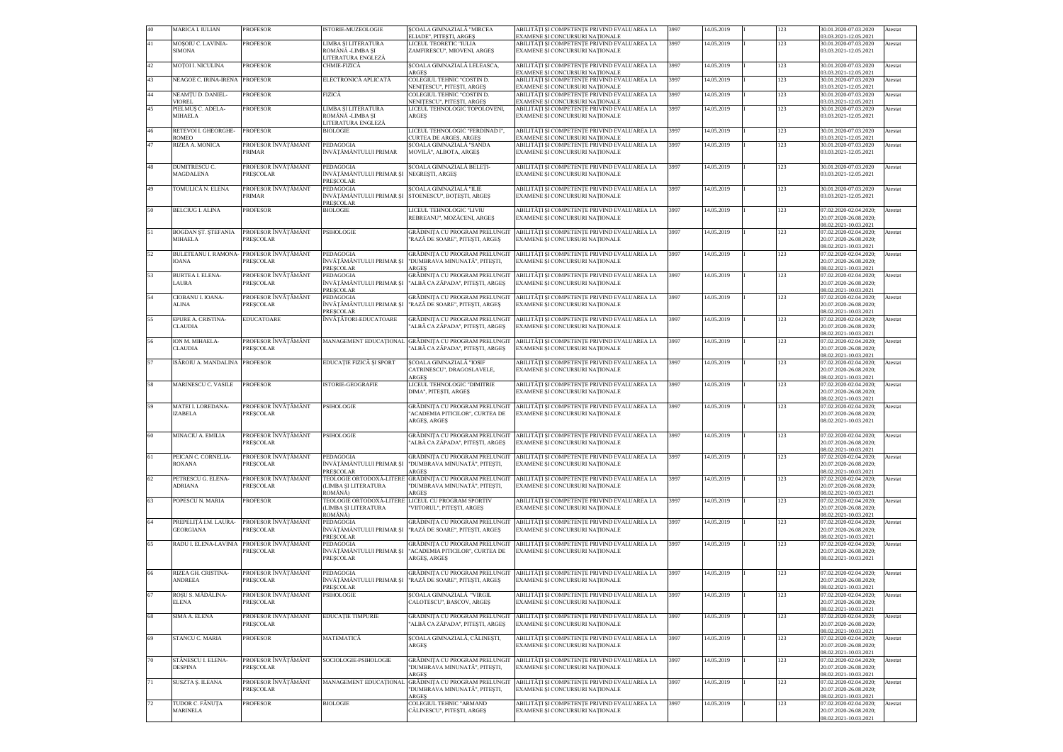|    | <b>MARICA I. IULIAN</b>                      | <b>PROFESOR</b>                                              | ISTORIE-MUZEOLOGIE                                            | ȘCOALA GIMNAZIALĂ "MIRCEA<br>ELIADE". PITESTI. ARGES                                        | ABILITĂȚI ȘI COMPETENȚE PRIVIND EVALUAREA LA<br>EXAMENE SI CONCURSURI NATIONALE                                | 3997 | 14.05.2019 | 123 | 30.01.2020-07.03.2020<br>03.03.2021-12.05.2021                            | Atestat |
|----|----------------------------------------------|--------------------------------------------------------------|---------------------------------------------------------------|---------------------------------------------------------------------------------------------|----------------------------------------------------------------------------------------------------------------|------|------------|-----|---------------------------------------------------------------------------|---------|
| 41 | MOȘOIU C. LAVINIA-<br><b>SIMONA</b>          | <b>PROFESOR</b>                                              | LIMBA ȘI LITERATURA<br>ROMÂNĂ -LIMBA ȘI<br>LITERATURA ENGLEZĂ | LICEUL TEORETIC "IULIA<br>ZAMFIRESCU", MIOVENI, ARGES                                       | ABILITĂȚI ȘI COMPETENȚE PRIVIND EVALUAREA LA<br>EXAMENE ȘI CONCURSURI NAȚIONALE                                | 3997 | 14.05.2019 | 123 | 30.01.2020-07.03.2020<br>03.03.2021-12.05.2021                            | Atestat |
| 42 | MOȚOI I. NICULINA                            | <b>PROFESOR</b>                                              | CHMIE-FIZICĂ                                                  | SCOALA GIMNAZIALĂ LELEASCA,<br><b>ARGES</b>                                                 | ABILITĂȚI ȘI COMPETENȚE PRIVIND EVALUAREA LA<br>EXAMENE ȘI CONCURSURI NAȚIONALE                                | 3997 | 14.05.2019 | 123 | 30.01.2020-07.03.2020<br>03.03.2021-12.05.2021                            | Atestat |
| 43 | NEAGOE C. IRINA-IRENA                        | <b>PROFESOR</b>                                              | ELECTRONICĂ APLICATĂ                                          | COLEGIUL TEHNIC "COSTIN D.<br>NENITESCU". PITESTI, ARGES                                    | ABILITĂȚI ȘI COMPETENȚE PRIVIND EVALUAREA LA<br>EXAMENE SI CONCURSURI NATIONALE                                | 3997 | 14.05.2019 | 123 | 30.01.2020-07.03.2020<br>03.03.2021-12.05.2021                            | Atestat |
| 44 | NEAMTU D. DANIEL-<br><b>VIOREL</b>           | <b>PROFESOR</b>                                              | FIZICĂ                                                        | COLEGIUL TEHNIC "COSTIN D.<br>NENITESCU", PITEȘTI, ARGEȘ                                    | ABILITĂȚI ȘI COMPETENȚE PRIVIND EVALUAREA LA<br>EXAMENE ȘI CONCURSURI NAȚIONALE                                | 3997 | 14.05.2019 | 123 | 30.01.2020-07.03.2020<br>03.03.2021-12.05.2021                            | Atestat |
| 45 | PIELMUȘ C. ADELA-<br><b>MIHAELA</b>          | <b>PROFESOR</b>                                              | LIMBA ȘI LITERATURA<br>ROMÂNĂ -LIMBA ȘI<br>LITERATURA ENGLEZĂ | LICEUL TEHNOLOGIC TOPOLOVENI,<br><b>ARGES</b>                                               | ABILITĂȚI ȘI COMPETENȚE PRIVIND EVALUAREA LA<br>EXAMENE ȘI CONCURSURI NAȚIONALE                                | 3997 | 14.05.2019 | 123 | 30.01.2020-07.03.2020<br>03.03.2021-12.05.2021                            | Atestat |
| 46 | RETEVOI I. GHEORGHE-<br>ROMEO                | <b>PROFESOR</b>                                              | <b>BIOLOGIE</b>                                               | LICEUL TEHNOLOGIC "FERDINAD I",<br>CURTEA DE ARGES, ARGES                                   | ABILITĂȚI ȘI COMPETENȚE PRIVIND EVALUAREA LA<br>EXAMENE ȘI CONCURSURI NAȚIONALE                                | 3997 | 14.05.2019 | 123 | 30.01.2020-07.03.2020<br>03.03.2021-12.05.2021                            | Atestat |
| 47 | RIZEA A. MONICA                              | PROFESOR ÎNVĂTĂMÂNT<br>PRIMAR                                | <b>PEDAGOGIA</b><br>ÎNVĂTĂMÂNTULUI PRIMAR                     | SCOALA GIMNAZIALĂ "SANDA<br>MOVILĂ", ALBOTA, ARGES                                          | ABILITĂȚI ȘI COMPETENȚE PRIVIND EVALUAREA LA<br>EXAMENE ȘI CONCURSURI NAȚIONALE                                | 3997 | 14.05.2019 | 123 | 30.01.2020-07.03.2020<br>03.03.2021-12.05.2021                            | Atestat |
| 48 | DUMITRESCU C.<br><b>MAGDALENA</b>            | PROFESOR ÎNVĂTĂMÂNT<br><b>PRESCOLAR</b>                      | PEDAGOGIA<br>ÎNVĂȚĂMÂNTULUI PRIMAR ȘI NEGREȘTI, ARGEȘ         | SCOALA GIMNAZIALĂ BELETI-                                                                   | ABILITĂȚI ȘI COMPETENȚE PRIVIND EVALUAREA LA<br>EXAMENE ȘI CONCURSURI NAȚIONALE                                | 3997 | 14.05.2019 | 123 | 30.01.2020-07.03.2020<br>03.03.2021-12.05.2021                            | Atestat |
| 49 | TOMULICĂ N. ELENA                            | PROFESOR ÎNVĂȚĂMÂNT<br>PRIMAR                                | <b>PRESCOLAR</b><br>PEDAGOGIA<br><b>PRESCOLAR</b>             | SCOALA GIMNAZIALĂ "ILIE<br>ÎNVĂȚĂMÂNTULUI PRIMAR ȘI STOENESCU", BOȚEȘTI, ARGEȘ              | ABILITĂȚI ȘI COMPETENȚE PRIVIND EVALUAREA LA<br>EXAMENE ȘI CONCURSURI NAȚIONALE                                | 3997 | 14.05.2019 | 123 | 30.01.2020-07.03.2020<br>03.03.2021-12.05.2021                            | Atestat |
| 50 | <b>BELCIUG I. ALINA</b>                      | PROFESOR                                                     | <b>BIOLOGIE</b>                                               | LICEUL TEHNOLOGIC "LIVIU<br>REBREANU". MOZĂCENI. ARGES                                      | ABILITĂȚI ȘI COMPETENȚE PRIVIND EVALUAREA LA<br>EXAMENE ȘI CONCURSURI NAȚIONALE                                | 3997 | 14.05.2019 | 123 | 07.02.2020-02.04.2020;<br>20.07.2020-26.08.2020;<br>08.02.2021-10.03.2021 | Atestat |
| 51 | <b>BOGDAN ST. STEFANIA</b><br><b>MIHAELA</b> | PROFESOR ÎNVĂTĂMÂNT<br><b>PRESCOLAR</b>                      | <b>PSIHOLOGIE</b>                                             | GRĂDINITA CU PROGRAM PRELUNGIT<br>"RAZĂ DE SOARE", PITEȘTI, ARGEȘ                           | ABILITĂȚI ȘI COMPETENȚE PRIVIND EVALUAREA LA<br>EXAMENE SI CONCURSURI NATIONALE                                | 3997 | 14.05.2019 | 123 | 07.02.2020-02.04.2020;<br>20.07.2020-26.08.2020;<br>08.02.2021-10.03.2021 | Atestat |
| 52 | <b>IOANA</b>                                 | BULETEANU I. RAMONA- PROFESOR ÎNVĂȚĂMÂNT<br><b>PRESCOLAR</b> | PEDAGOGIA<br>ÎNVĂȚĂMÂNTULUI PRIMAR ȘI<br><b>PRESCOLAR</b>     | GRĂDINITA CU PROGRAM PRELUNGIT<br>"DUMBRAVA MINUNATĂ", PITEȘTI,<br>ARGES                    | ABILITĂȚI ȘI COMPETENȚE PRIVIND EVALUAREA LA<br>EXAMENE ȘI CONCURSURI NAȚIONALE                                | 3997 | 14.05.2019 | 123 | 07.02.2020-02.04.2020;<br>20.07.2020-26.08.2020;<br>08.02.2021-10.03.2021 | Atestat |
| 53 | <b>BURTEA I. ELENA-</b><br>LAURA             | PROFESOR ÎNVĂȚĂMÂNT<br><b>PRESCOLAR</b>                      | PEDAGOGIA<br>ÎNVĂȚĂMÂNTULUI PRIMAR ȘI<br><b>PRESCOLAR</b>     | <b>GRĂDINITA CU PROGRAM PRELUNGIT</b><br>"ALBĂ CA ZĂPADA", PITEȘTI, ARGEȘ                   | ABILITĂȚI ȘI COMPETENȚE PRIVIND EVALUAREA LA<br>EXAMENE ȘI CONCURSURI NAȚIONALE                                | 3997 | 14.05.2019 | 123 | 07.02.2020-02.04.2020;<br>20.07.2020-26.08.2020;<br>08.02.2021-10.03.2021 | Atestat |
| 54 | CIOBANU I. IOANA-<br><b>ALINA</b>            | PROFESOR ÎNVĂTĂMÂNT<br><b>PRESCOLAR</b>                      | PEDAGOGIA<br>ÎNVĂȚĂMÂNTULUI PRIMAR ȘI<br>PRESCOLAR            | GRĂDINITA CU PROGRAM PRELUNGIT<br>"RAZĂ DE SOARE", PITEȘTI, ARGEȘ                           | ABILITĂȚI ȘI COMPETENȚE PRIVIND EVALUAREA LA<br>EXAMENE ȘI CONCURSURI NAȚIONALE                                | 3997 | 14.05.2019 | 123 | 07.02.2020-02.04.2020;<br>20.07.2020-26.08.2020;<br>08.02.2021-10.03.2021 | Atestat |
| 55 | EPURE A. CRISTINA-<br><b>CLAUDIA</b>         | <b>EDUCATOARE</b>                                            | ÎNVĂTĂTORI-EDUCATOARE                                         | GRĂDINIȚA CU PROGRAM PRELUNGIT<br>"ALBĂ CA ZĂPADA", PITEȘTI, ARGEȘ                          | ABILITĂȚI ȘI COMPETENȚE PRIVIND EVALUAREA LA<br>EXAMENE ȘI CONCURSURI NAȚIONALE                                | 3997 | 14.05.2019 | 123 | 07.02.2020-02.04.2020;<br>20.07.2020-26.08.2020;<br>08.02.2021-10.03.2021 | Atestat |
| 56 | ION M. MIHAELA-<br><b>CLAUDIA</b>            | PROFESOR ÎNVĂTĂMÂNT<br><b>PRESCOLAR</b>                      |                                                               | MANAGEMENT EDUCATIONAL GRĂDINIȚA CU PROGRAM PRELUNGIT<br>"ALBĂ CA ZĂPADA", PITEȘTI, ARGEȘ   | ABILITĂȚI ȘI COMPETENȚE PRIVIND EVALUAREA LA<br>EXAMENE ȘI CONCURSURI NAȚIONALE                                | 3997 | 14.05.2019 | 123 | 07.02.2020-02.04.2020;<br>20.07.2020-26.08.2020;<br>08.02.2021-10.03.2021 | Atestat |
| 57 | ISĂROIU A. MANDALINA PROFESOR                |                                                              | EDUCAȚIE FIZICĂ ȘI SPORT                                      | SCOALA GIMNAZIALĂ "IOSIF<br>CATRINESCU". DRAGOSLAVELE.<br><b>ARGES</b>                      | ABILITĂȚI ȘI COMPETENȚE PRIVIND EVALUAREA LA<br>EXAMENE ȘI CONCURSURI NAȚIONALE                                | 3997 | 14.05.2019 | 123 | 07.02.2020-02.04.2020;<br>20.07.2020-26.08.2020;<br>08.02.2021-10.03.2021 | Atestat |
| 58 | MARINESCU C. VASILE                          | <b>PROFESOR</b>                                              | <b>ISTORIE-GEOGRAFIE</b>                                      | LICEUL TEHNOLOGIC "DIMITRIE<br>DIMA", PITEȘTI, ARGEȘ                                        | ABILITĂȚI ȘI COMPETENȚE PRIVIND EVALUAREA LA<br>EXAMENE ȘI CONCURSURI NAȚIONALE                                | 3997 | 14.05.2019 | 123 | 07.02.2020-02.04.2020;<br>20.07.2020-26.08.2020;<br>08.02.2021-10.03.2021 | Atestat |
| 59 | MATEI I. LOREDANA-<br><b>IZABELA</b>         | PROFESOR ÎNVĂTĂMÂNT<br>PRESCOLAR                             | <b>PSIHOLOGIE</b>                                             | GRĂDINIȚA CU PROGRAM PRELUNGIT<br>"ACADEMIA PITICILOR", CURTEA DE<br>ARGES, ARGES           | ABILITĂȚI ȘI COMPETENȚE PRIVIND EVALUAREA LA<br>EXAMENE ȘI CONCURSURI NAȚIONALE                                | 3997 | 14.05.2019 | 123 | 07.02.2020-02.04.2020;<br>20.07.2020-26.08.2020;<br>08.02.2021-10.03.2021 | Atestat |
| 60 | MINACIU A. EMILIA                            | PROFESOR ÎNVĂTĂMÂNT<br><b>PRESCOLAR</b>                      | <b>PSIHOLOGIE</b>                                             | "ALBĂ CA ZĂPADA", PITESTI, ARGES                                                            | GRĂDINIȚA CU PROGRAM PRELUNGIT ABILITĂȚI ȘI COMPETENȚE PRIVIND EVALUAREA LA<br>EXAMENE ȘI CONCURSURI NAȚIONALE | 3997 | 14.05.2019 | 123 | 07.02.2020-02.04.2020;<br>20.07.2020-26.08.2020;<br>08.02.2021-10.03.2021 | Atestat |
| 61 | PEICAN C. CORNELIA-<br><b>ROXANA</b>         | PROFESOR ÎNVĂȚĂMÂNT<br>PRESCOLAR                             | PEDAGOGIA<br>ÎNVĂȚĂMÂNTULUI PRIMAR ȘI<br><b>PRESCOLAR</b>     | GRĂDINITA CU PROGRAM PRELUNGI"<br>"DUMBRAVA MINUNATĂ", PITEȘTI,<br>ARGES                    | ABILITĂȚI ȘI COMPETENȚE PRIVIND EVALUAREA LA<br>EXAMENE ȘI CONCURSURI NAȚIONALE                                | 3997 | 14.05.2019 | 123 | 07.02.2020-02.04.2020;<br>20.07.2020-26.08.2020;<br>08.02.2021-10.03.2021 | Atestat |
| 62 | PETRESCU G. ELENA-<br>ADRIANA                | PROFESOR ÎNVĂTĂMÂNT<br><b>PRESCOLAR</b>                      | TEOLOGIE ORTODOXĂ-LITERE<br>(LIMBA ȘI LITERATURA<br>ROMÂNĂ)   | GRĂDINITA CU PROGRAM PRELUNGIT<br>"DUMBRAVA MINUNATĂ", PITEȘTI,<br><b>ARGES</b>             | ABILITĂȚI ȘI COMPETENȚE PRIVIND EVALUAREA LA<br>EXAMENE ȘI CONCURSURI NAȚIONALE                                | 3997 | 14.05.2019 | 123 | 07.02.2020-02.04.2020;<br>20.07.2020-26.08.2020;<br>08.02.2021-10.03.2021 | Atestat |
| 63 | POPESCU N. MARIA                             | PROFESOR                                                     | TEOLOGIE ORTODOXĂ-LITERE<br>(LIMBA SI LITERATURA<br>ROMÂNĂ)   | LICEUL CU PROGRAM SPORTIV<br>'VIITORUL", PITEȘTI, ARGEȘ                                     | ABILITĂȚI ȘI COMPETENȚE PRIVIND EVALUAREA LA<br>EXAMENE ȘI CONCURSURI NAȚIONALE                                | 3997 | 14.05.2019 | 123 | 07.02.2020-02.04.2020;<br>20.07.2020-26.08.2020;<br>08.02.2021-10.03.2021 | Atestat |
| 64 | PREPELIȚĂ I.M. LAURA-<br>GEORGIANA           | PROFESOR ÎNVĂȚĂMÂNT<br><b>PRESCOLAR</b>                      | PEDAGOGIA<br>ÎNVĂTĂMÂNTULUI PRIMAR ȘI<br><b>PRESCOLAR</b>     | GRĂDINIȚA CU PROGRAM PRELUNGIT<br>"RAZĂ DE SOARE", PITEȘTI, ARGES                           | ABILITĂȚI ȘI COMPETENȚE PRIVIND EVALUAREA LA<br>EXAMENE ȘI CONCURSURI NAȚIONALE                                | 3997 | 14.05.2019 | 123 | 07.02.2020-02.04.2020;<br>20.07.2020-26.08.2020;<br>08.02.2021-10.03.2021 | Atestat |
| 65 | RADU I. ELENA-LAVINIA                        | PROFESOR ÎNVĂȚĂMÂNT<br>PRESCOLAR                             | PEDAGOGIA<br>ÎNVĂTĂMÂNTULUI PRIMAR SI<br><b>PRESCOLAR</b>     | <b>GRĂDINIȚA CU PROGRAM PRELUNGIT</b><br>"ACADEMIA PITICILOR", CURTEA DE<br>ARGES, ARGES    | ABILITĂȚI ȘI COMPETENȚE PRIVIND EVALUAREA LA<br>EXAMENE ȘI CONCURSURI NAȚIONALE                                | 3997 | 14.05.2019 | 123 | 07.02.2020-02.04.2020;<br>20.07.2020-26.08.2020;<br>08.02.2021-10.03.2021 | Atestat |
| 66 | RIZEA GH. CRISTINA-<br><b>ANDREEA</b>        | PROFESOR ÎNVĂȚĂMÂNT<br>PRESCOLAR                             | PEDAGOGIA<br>PREȘCOLAR                                        | GRĂDINIȚA CU PROGRAM PRELUNGI<br>ÎNVĂȚĂMÂNTULUI PRIMAR ȘI   "RAZĂ DE SOARE", PITEȘTI, ARGEȘ | ABILITĂȚI ȘI COMPETENȚE PRIVIND EVALUAREA LA<br>EXAMENE ȘI CONCURSURI NAȚIONALE                                | 3997 | 14.05.2019 | 123 | 07.02.2020-02.04.2020;<br>20.07.2020-26.08.2020;<br>08.02.2021-10.03.2021 | Atestat |
|    | ROSU S. MĂDĂLINA-<br><b>ELENA</b>            | PROFESOR ÎNVĂTĂMÂNT<br>PRESCOLAR                             | <b>PSIHOLOGIE</b>                                             | SCOALA GIMNAZIALĂ "VIRGIL<br>CALOTESCU", BASCOV, ARGEȘ                                      | ABILITĂȚI ȘI COMPETENȚE PRIVIND EVALUAREA LA<br>EXAMENE ȘI CONCURSURI NAȚIONALE                                | 3997 | 14.05.2019 | 123 | 07.02.2020-02.04.2020;<br>20.07.2020-26.08.2020;<br>08.02.2021-10.03.2021 | Atestat |
| 68 | SIMA A. ELENA                                | PROFESOR ÎNVĂTĂMÂNT<br>PRESCOLAR                             | <b>EDUCAȚIE TIMPURIE</b>                                      | GRĂDINITA CU PROGRAM PRELUNGI<br>"ALBĂ CA ZĂPADA", PITEȘTI, ARGEȘ                           | ABILITĂȚI ȘI COMPETENȚE PRIVIND EVALUAREA LA<br>EXAMENE ȘI CONCURSURI NAȚIONALE                                | 3997 | 14.05.2019 | 123 | 07.02.2020-02.04.2020;<br>20.07.2020-26.08.2020;<br>08.02.2021-10.03.2021 | Atestat |
| 69 | STANCU C. MARIA                              | <b>PROFESOR</b>                                              | MATEMATICĂ                                                    | ȘCOALA GIMNAZIALĂ, CĂLINEȘTI,<br>ARGES                                                      | ABILITĂȚI ȘI COMPETENȚE PRIVIND EVALUAREA LA<br>EXAMENE ȘI CONCURSURI NAȚIONALE                                | 3997 | 14.05.2019 | 123 | 07.02.2020-02.04.2020;<br>20.07.2020-26.08.2020;<br>08.02.2021-10.03.2021 | Atestat |
| 70 | STĂNESCU I. ELENA-<br><b>DESPINA</b>         | PROFESOR ÎNVĂȚĂMÂNT<br><b>PRESCOLAR</b>                      | SOCIOLOGIE-PSIHOLOGIE                                         | GRĂDINIȚA CU PROGRAM PRELUNGIT<br>"DUMBRAVA MINUNATĂ", PITEȘTI,<br><b>ARGES</b>             | ABILITĂȚI ȘI COMPETENȚE PRIVIND EVALUAREA LA<br>EXAMENE ȘI CONCURSURI NAȚIONALE                                | 3997 | 14.05.2019 | 123 | 07.02.2020-02.04.2020;<br>20.07.2020-26.08.2020;<br>08.02.2021-10.03.2021 | Atestat |
| 71 | SUSZTA Ș. ILEANA                             | PROFESOR ÎNVĂTĂMÂNT<br><b>PRESCOLAR</b>                      | MANAGEMENT EDUCATIONAL                                        | GRĂDINITA CU PROGRAM PRELUNGI<br>"DUMBRAVA MINUNATĂ", PITEȘTI,<br>ARGES                     | ABILITĂȚI ȘI COMPETENȚE PRIVIND EVALUAREA LA<br>EXAMENE ȘI CONCURSURI NAȚIONALE                                | 3997 | 14.05.2019 | 123 | 07.02.2020-02.04.2020;<br>20.07.2020-26.08.2020;<br>08.02.2021-10.03.2021 | Atestat |
| 72 | TUDOR C. FĂNUȚA<br><b>MARINELA</b>           | PROFESOR                                                     | <b>BIOLOGIE</b>                                               | COLEGIUL TEHNIC "ARMAND<br>CĂLINESCU", PITEȘTI, ARGEȘ                                       | ABILITĂȚI ȘI COMPETENȚE PRIVIND EVALUAREA LA<br>EXAMENE ȘI CONCURSURI NAȚIONALE                                | 3997 | 14.05.2019 | 123 | 07.02.2020-02.04.2020;<br>20.07.2020-26.08.2020;<br>08.02.2021-10.03.2021 | Atestat |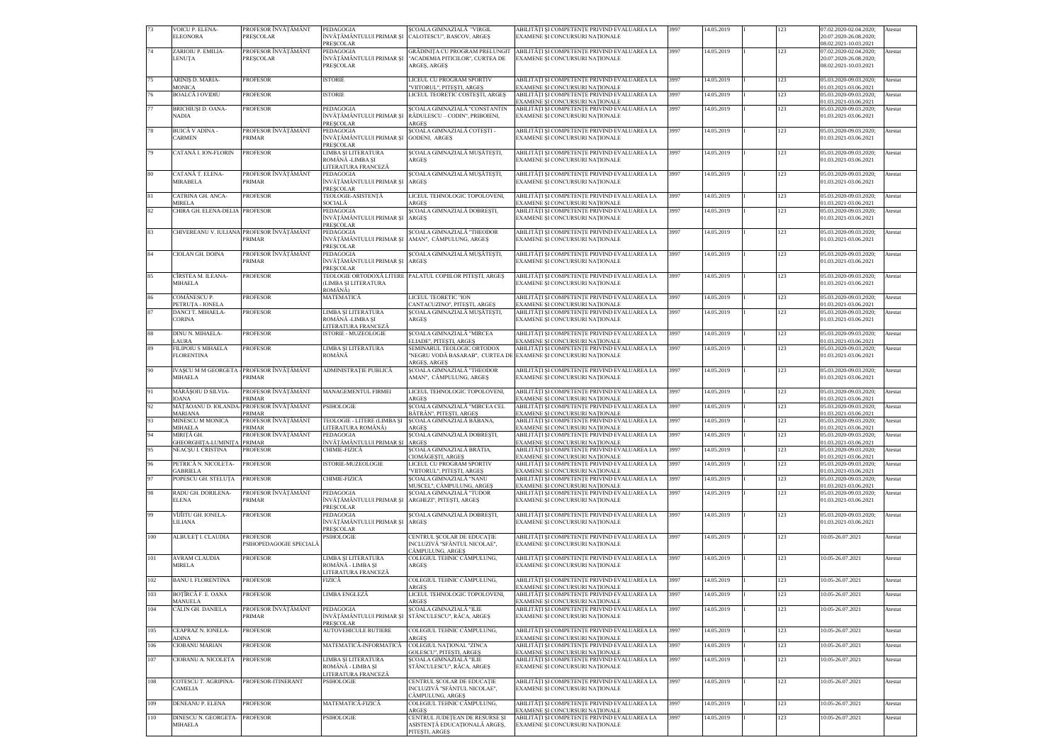|     | VOICU P. ELENA-<br><b>ELEONORA</b>                          | PROFESOR ÎNVĂTĂMÂNT<br><b>PRESCOLAR</b>    | PEDAGOGIA<br><b>PRESCOLAR</b>                                                     | SCOALA GIMNAZIALĂ "VIRGIL<br>ÎNVĂȚĂMÂNTULUI PRIMAR ȘI CALOTESCU", BASCOV, ARGEȘ   | ABILITĂȚI ȘI COMPETENȚE PRIVIND EVALUAREA LA<br>EXAMENE SI CONCURSURI NATIONALE                                                                     | 3997 | 14.05.2019 | 123 | 07.02.2020-02.04.2020:<br>20.07.2020-26.08.2020;<br>08.02.2021-10.03.2021 | Atestat |
|-----|-------------------------------------------------------------|--------------------------------------------|-----------------------------------------------------------------------------------|-----------------------------------------------------------------------------------|-----------------------------------------------------------------------------------------------------------------------------------------------------|------|------------|-----|---------------------------------------------------------------------------|---------|
| 74  | ZARIOIU P. EMILIA-<br>LENUȚA                                | PROFESOR ÎNVĂTĂMÂNT<br>PRESCOLAR           | PEDAGOGIA<br>ÎNVĂȚĂMÂNTULUI PRIMAR ȘI<br>PRESCOLAR                                | GRĂDINITA CU PROGRAM PRELUNGIT<br>"ACADEMIA PITICILOR", CURTEA DE<br>ARGES, ARGES | ABILITĂȚI ȘI COMPETENȚE PRIVIND EVALUAREA LA<br>EXAMENE ȘI CONCURSURI NAȚIONALE                                                                     | 3997 | 14.05.2019 | 123 | 07.02.2020-02.04.2020;<br>20.07.2020-26.08.2020;<br>08.02.2021-10.03.2021 | Atestat |
| 75  | ARINIS D. MARIA-<br><b>MONICA</b>                           | PROFESOR                                   | <b>ISTORIE</b>                                                                    | LICEUL CU PROGRAM SPORTIV<br>"VIITORUL", PITEȘTI, ARGEȘ                           | ABILITĂȚI ȘI COMPETENȚE PRIVIND EVALUAREA LA<br>EXAMENE ȘI CONCURSURI NAȚIONALE                                                                     | 3997 | 14.05.2019 | 123 | 05.03.2020-09.03.2020;<br>01.03.2021-03.06.2021                           | Atestat |
| 76  | <b>BOALCĂ I OVIDIU</b>                                      | <b>PROFESOR</b>                            | <b>ISTORIE</b>                                                                    | LICEUL TEORETIC COSTEȘTI, ARGEȘ                                                   | ABILITĂȚI ȘI COMPETENȚE PRIVIND EVALUAREA LA<br>EXAMENE ȘI CONCURSURI NAȚIONALE                                                                     | 3997 | 14.05.2019 | 123 | 05.03.2020-09.03.2020;<br>01.03.2021-03.06.2021                           | Atestat |
| 77  | <b>BRICHIUSI D. OANA-</b>                                   | PROFESOR                                   | PEDAGOGIA                                                                         | ȘCOALA GIMNAZIALĂ "CONSTANTIN                                                     | ABILITĂȚI ȘI COMPETENȚE PRIVIND EVALUAREA LA                                                                                                        | 3997 | 14.05.2019 | 123 | 05.03.2020-09.03.2020;                                                    | Atestat |
|     | <b>NADIA</b>                                                |                                            | ÎNVĂȚĂMÂNTULUI PRIMAR ȘI<br><b>PRESCOLAR</b>                                      | RĂDULESCU – CODIN", PRIBOIENI,<br>ARGES                                           | EXAMENE ȘI CONCURSURI NAȚIONALE                                                                                                                     |      |            |     | 01.03.2021-03.06.2021                                                     |         |
| 78  | BUICĂ V ADINA -<br><b>CARMEN</b>                            | PROFESOR ÎNVĂȚĂMÂNT<br>PRIMAR              | PEDAGOGIA<br>ÎNVĂȚĂMÂNTULUI PRIMAR ȘI GODENI, ARGEȘ<br><b>PRESCOLAR</b>           | ȘCOALA GIMNAZIALĂ COTEȘTI -                                                       | ABILITĂȚI ȘI COMPETENȚE PRIVIND EVALUAREA LA<br>EXAMENE ȘI CONCURSURI NAȚIONALE                                                                     | 3997 | 14.05.2019 | 123 | 05.03.2020-09.03.2020;<br>01.03.2021-03.06.2021                           | Atestat |
| 79  | CATANĂ I. ION-FLORIN                                        | PROFESOR                                   | LIMBA SI LITERATURA<br>ROMÂNĂ -LIMBA ȘI<br>LITERATURA FRANCEZĂ                    | ȘCOALA GIMNAZIALĂ MUȘĂTEȘTI,<br>ARGES                                             | ABILITĂȚI ȘI COMPETENȚE PRIVIND EVALUAREA LA<br>EXAMENE ȘI CONCURSURI NAȚIONALE                                                                     | 3997 | 14.05.2019 | 123 | 05.03.2020-09.03.2020;<br>01.03.2021-03.06.2021                           | Atestat |
| 80  | CATANĂ T. ELENA-<br><b>MIRABELA</b>                         | PROFESOR ÎNVĂTĂMÂNT<br>PRIMAR              | <b>PEDAGOGIA</b><br>ÎNVĂȚĂMÂNTULUI PRIMAR ȘI<br><b>PRESCOLAR</b>                  | SCOALA GIMNAZIALĂ MUSĂTESTI.<br><b>ARGES</b>                                      | ABILITĂȚI ȘI COMPETENȚE PRIVIND EVALUAREA LA<br>EXAMENE ȘI CONCURSURI NAȚIONALE                                                                     | 3997 | 14.05.2019 | 123 | 05.03.2020-09.03.2020;<br>01.03.2021-03.06.2021                           | Atestat |
| 81  | CATRINA GH. ANCA-<br>MIRELA                                 | <b>PROFESOR</b>                            | TEOLOGIE-ASISTENȚĂ<br>SOCIALĂ                                                     | LICEUL TEHNOLOGIC TOPOLOVENI.<br>ARGES                                            | ABILITĂȚI ȘI COMPETENȚE PRIVIND EVALUAREA LA<br>EXAMENE ȘI CONCURSURI NAȚIONALE                                                                     | 3997 | 14.05.2019 | 123 | 05.03.2020-09.03.2020;<br>01.03.2021-03.06.2021                           | Atestat |
| 82  | CHIRA GH. ELENA-DELIA PROFESOR                              |                                            | PEDAGOGIA<br>ÎNVĂȚĂMÂNTULUI PRIMAR ȘI<br><b>PRESCOLAR</b>                         | SCOALA GIMNAZIALĂ DOBRESTI,<br>ARGES                                              | ABILITĂȚI ȘI COMPETENȚE PRIVIND EVALUAREA LA<br>EXAMENE ȘI CONCURSURI NAȚIONALE                                                                     | 3997 | 14.05.2019 | 123 | 05.03.2020-09.03.2020;<br>01.03.2021-03.06.2021                           | Atestat |
| 83  | CHIVEREANU V. IULIANA PROFESOR ÎNVĂȚĂMÂNT                   | PRIMAR                                     | PEDAGOGIA<br>ÎNVĂȚĂMÂNTULUI PRIMAR SI AMAN", CÂMPULUNG, ARGES<br><b>PRESCOLAR</b> | SCOALA GIMNAZIALĂ "THEODOR                                                        | ABILITĂȚI ȘI COMPETENȚE PRIVIND EVALUAREA LA<br>EXAMENE ȘI CONCURSURI NAȚIONALE                                                                     | 3997 | 14.05.2019 | 123 | 05.03.2020-09.03.2020;<br>01.03.2021-03.06.2021                           | Atestat |
| 84  | CIOLAN GH, DOINA                                            | PROFESOR ÎNVĂȚĂMÂNT<br>PRIMAR              | PEDAGOGIA<br>ÎNVĂTĂMÂNTULUI PRIMAR SI<br><b>PRESCOLAR</b>                         | SCOALA GIMNAZIALĂ MUSĂTESTI,<br><b>ARGES</b>                                      | ABILITĂȚI ȘI COMPETENȚE PRIVIND EVALUAREA LA<br>EXAMENE ȘI CONCURSURI NAȚIONALE                                                                     | 3997 | 14.05.2019 | 123 | 05.03.2020-09.03.2020;<br>01.03.2021-03.06.2021                           | Atestat |
| 85  | CÎRSTEA M. ILEANA-<br><b>MIHAELA</b>                        | <b>PROFESOR</b>                            | (LIMBA ȘI LITERATURA<br>ROMÂNĂ)                                                   | TEOLOGIE ORTODOXĂ LITERE PALATUL COPIILOR PITEȘTI, ARGEȘ                          | ABILITĂȚI ȘI COMPETENȚE PRIVIND EVALUAREA LA<br>EXAMENE ȘI CONCURSURI NAȚIONALE                                                                     | 3997 | 14.05.2019 | 123 | 05.03.2020-09.03.2020;<br>01.03.2021-03.06.2021                           | Atestat |
| 86  | COMĂNESCU P.<br>PETRUTA - IONELA                            | <b>PROFESOR</b>                            | MATEMATICĂ                                                                        | LICEUL TEORETIC "ION<br>CANTACUZINO", PITEȘTI, ARGEȘ                              | ABILITĂȚI ȘI COMPETENȚE PRIVIND EVALUAREA LA<br>EXAMENE ȘI CONCURSURI NAȚIONALE                                                                     | 3997 | 14.05.2019 | 123 | 05.03.2020-09.03.2020;<br>01.03.2021-03.06.2021                           | Atestat |
| 87  | DANCI T. MIHAELA-<br><b>CORINA</b>                          | PROFESOR                                   | LIMBA ȘI LITERATURA<br>ROMÂNĂ -LIMBA SI<br>LITERATURA FRANCEZĂ                    | ȘCOALA GIMNAZIALĂ MUȘĂTEȘTI,<br><b>ARGES</b>                                      | ABILITĂȚI ȘI COMPETENȚE PRIVIND EVALUAREA LA<br>EXAMENE ȘI CONCURSURI NAȚIONALE                                                                     | 3997 | 14.05.2019 | 123 | 05.03.2020-09.03.2020;<br>01.03.2021-03.06.2021                           | Atestat |
|     | DINU N. MIHAELA-                                            | PROFESOR                                   | <b>ISTORIE - MUZEOLOGIE</b>                                                       | SCOALA GIMNAZIALĂ "MIRCEA                                                         | ABILITĂȚI ȘI COMPETENȚE PRIVIND EVALUAREA LA                                                                                                        | 3997 | 14.05.2019 | 123 | 05.03.2020-09.03.2020;                                                    | Atestat |
| 89  | <b>AURA</b><br>FILIPOIU S MIHAELA<br><b>FLORENTINA</b>      | <b>PROFESOR</b>                            | LIMBA ȘI LITERATURA<br>ROMÂNĂ                                                     | ELIADE", PITESTI, ARGES<br>SEMINARUL TEOLOGIC ORTODOX                             | EXAMENE SI CONCURSURI NATIONALE<br>ABILITĂȚI ȘI COMPETENȚE PRIVIND EVALUAREA LA<br>"NEGRU VODĂ BASARAB",  CURTEA DE EXAMENE ȘI CONCURSURI NAȚIONALE | 3997 | 14.05.2019 | 123 | 01.03.2021-03.06.2021<br>05.03.2020-09.03.2020;<br>01.03.2021-03.06.2021  | Atestat |
| 90  | IVASCU M M GEORGETA - PROFESOR ÎNVĂȚĂMÂNT<br><b>MIHAELA</b> | PRIMAR                                     | ADMINISTRAȚIE PUBLICĂ                                                             | ARGES, ARGES<br>SCOALA GIMNAZIALĂ "THEODOR<br>AMAN", CÂMPULUNG, ARGEȘ             | ABILITĂȚI ȘI COMPETENȚE PRIVIND EVALUAREA LA<br>EXAMENE ȘI CONCURSURI NAȚIONALE                                                                     | 3997 | 14.05.2019 | 123 | 05.03.2020-09.03.2020;<br>01.03.2021-03.06.2021                           | Atestat |
| 91  | MĂRĂȘOIU D SILVIA-<br>IOANA                                 | PROFESOR ÎNVĂȚĂMÂNT<br>PRIMAR              | MANAGEMENTUL FIRMEI                                                               | LICEUL TEHNOLOGIC TOPOLOVENI,<br><b>ARGES</b>                                     | ABILITĂȚI ȘI COMPETENȚE PRIVIND EVALUAREA LA<br>EXAMENE SI CONCURSURI NATIONALE                                                                     | 3997 | 14.05.2019 | 123 | 05.03.2020-09.03.2020;<br>01.03.2021-03.06.2021                           | Atestat |
| 92  | MĂȚĂOANU D. IOLANDA<br><b>MARIANA</b>                       | PROFESOR ÎNVĂȚĂMÂNT<br>PRIMAR              | <b>PSIHOLOGIE</b>                                                                 | SCOALA GIMNAZIALĂ "MIRCEA CEL<br>BĂTRÂN", PITESTI, ARGES                          | ABILITĂȚI ȘI COMPETENȚE PRIVIND EVALUAREA LA<br>EXAMENE ȘI CONCURSURI NAȚIONALE                                                                     | 3997 | 14.05.2019 | 123 | 05.03.2020-09.03.2020;<br>01.03.2021-03.06.2021                           | Atestat |
| 93  | MINESCU M MONICA<br><b>MIHAELA</b>                          | PROFESOR ÎNVĂȚĂMÂNT<br>PRIMAR              | LITERATURA ROMÂNĂ)                                                                | TEOLOGIE - LITERE (LIMBA ȘI ȘCOALA GIMNAZIALĂ BĂBANA,<br><b>ARGES</b>             | ABILITĂȚI ȘI COMPETENȚE PRIVIND EVALUAREA LA<br>EXAMENE SI CONCURSURI NATIONALE                                                                     | 3997 | 14.05.2019 | 123 | 05.03.2020-09.03.2020:<br>01.03.2021-03.06.2021                           | Atestat |
| 94  | MIRITĂ GH.                                                  | PROFESOR ÎNVĂTĂMÂNT                        | <b>PEDAGOGIA</b>                                                                  | SCOALA GIMNAZIALĂ DOBRESTI,                                                       | ABILITĂȚI ȘI COMPETENȚE PRIVIND EVALUAREA LA                                                                                                        | 3997 | 14.05.2019 | 123 | 05.03.2020-09.03.2020;                                                    | Atestat |
| 95  | GHEORGHITA-LUMINITA<br>NEACȘU I. CRISTINA                   | <b>PRIMAR</b><br>PROFESOR                  | ÎNVĂȚĂMÂNTULUI PRIMAR ȘI<br>CHIMIE-FIZICĂ                                         | <b>ARGES</b><br>SCOALA GIMNAZIALĂ BRĂTIA,                                         | EXAMENE ȘI CONCURSURI NAȚIONALE<br>ABILITĂȚI ȘI COMPETENȚE PRIVIND EVALUAREA LA                                                                     | 3997 | 14.05.2019 | 123 | 01.03.2021-03.06.2021<br>05.03.2020-09.03.2020;                           | Atestat |
| 96  | PETRICĂ N. NICOLETA-                                        | PROFESOR                                   | ISTORIE-MUZEOLOGIE                                                                | CIOMĂGESTI, ARGES<br>LICEUL CU PROGRAM SPORTIV                                    | EXAMENE SI CONCURSURI NATIONALE<br>ABILITĂȚI ȘI COMPETENȚE PRIVIND EVALUAREA LA                                                                     | 3997 | 14.05.2019 | 123 | 01.03.2021-03.06.2021<br>05.03.2020-09.03.2020;                           | Atestat |
| 97  | <b>GABRIELA</b><br>POPESCU GH. STELUȚA                      | PROFESOR                                   | CHIMIE-FIZICĂ                                                                     | "VIITORUL", PITEȘTI, ARGEȘ<br>SCOALA GIMNAZIALĂ "NANU                             | EXAMENE ȘI CONCURSURI NAȚIONALE<br>ABILITĂȚI ȘI COMPETENȚE PRIVIND EVALUAREA LA                                                                     | 3997 | 14.05.2019 | 123 | 01.03.2021-03.06.2021<br>05.03.2020-09.03.2020;                           | Atestat |
|     |                                                             |                                            |                                                                                   | MUSCEL", CÂMPULUNG, ARGEȘ                                                         | EXAMENE SI CONCURSURI NATIONALE                                                                                                                     |      |            |     | 01.03.2021-03.06.2021                                                     |         |
| 98  | RADU GH. DORILENA-<br><b>ELENA</b>                          | PROFESOR ÎNVĂTĂMÂNT<br>PRIMAR              | PEDAGOGIA<br>ÎNVĂȚĂMÂNTULUI PRIMAR ȘI<br><b>PRESCOLAR</b>                         | SCOALA GIMNAZIALĂ "TUDOR<br>ARGHEZI", PITEȘTI, ARGEȘ                              | ABILITĂȚI ȘI COMPETENȚE PRIVIND EVALUAREA LA<br>EXAMENE ȘI CONCURSURI NAȚIONALE                                                                     | 3997 | 14.05.2019 | 123 | 05.03.2020-09.03.2020;<br>01.03.2021-03.06.2021                           | Atestat |
| 99  | VÎJÎITU GH. IONELA-<br>LILIANA                              | PROFESOR                                   | PEDAGOGIA<br>ÎNVĂȚĂMÂNTULUI PRIMAR ȘI<br><b>PRESCOLAR</b>                         | ȘCOALA GIMNAZIALĂ DOBREȘTI,<br><b>ARGES</b>                                       | ABILITĂȚI ȘI COMPETENȚE PRIVIND EVALUAREA LA<br>EXAMENE ȘI CONCURSURI NAȚIONALE                                                                     | 3997 | 14.05.2019 | 123 | 05.03.2020-09.03.2020;<br>01.03.2021-03.06.2021                           | Atestat |
| 100 | ALBULEȚ I. CLAUDIA                                          | <b>PROFESOR</b><br>PSIHOPEDAGOGIE SPECIALĂ | PSIHOLOGIE                                                                        | CENTRUL SCOLAR DE EDUCAȚIE<br>INCLUZIVĂ "SFÂNTUL NICOLAE",<br>CÂMPULUNG, ARGES    | ABILITĂȚI ȘI COMPETENȚE PRIVIND EVALUAREA LA<br>EXAMENE ȘI CONCURSURI NAȚIONALE                                                                     | 3997 | 14.05.2019 | 123 | 10.05-26.07.2021                                                          | Atestat |
| 101 | <b>AVRAM CLAUDIA</b><br><b>MIRELA</b>                       | PROFESOR                                   | LIMBA SI LITERATURA<br>ROMÂNĂ - LIMBA SI<br>LITERATURA FRANCEZĂ                   | COLEGIUL TEHNIC CÂMPULUNG,<br>ARGES                                               | ABILITĂȚI ȘI COMPETENȚE PRIVIND EVALUAREA LA<br>EXAMENE ȘI CONCURSURI NAȚIONALE                                                                     | 3997 | 14.05.2019 | 123 | 10.05-26.07.2021                                                          | Atestat |
| 102 | <b>BANU I. FLORENTINA</b>                                   | <b>PROFESOR</b>                            | FIZICĂ                                                                            | COLEGIUL TEHNIC CÂMPULUNG,<br><b>ARGES</b>                                        | ABILITĂȚI ȘI COMPETENȚE PRIVIND EVALUAREA LA<br>EXAMENE ȘI CONCURSURI NAȚIONALE                                                                     | 3997 | 14.05.2019 | 123 | 10.05-26.07.2021                                                          | Atestat |
| 103 | BOȚÎRCĂ F. E. OANA<br><b>MANUELA</b>                        | PROFESOR                                   | LIMBA ENGLEZĂ                                                                     | LICEUL TEHNOLOGIC TOPOLOVENI,<br>ARGES                                            | ABILITĂȚI ȘI COMPETENȚE PRIVIND EVALUAREA LA<br>EXAMENE ȘI CONCURSURI NAȚIONALE                                                                     | 3997 | 14.05.2019 | 123 | 10.05-26.07.2021                                                          | Atestat |
| 104 | CĂLIN GH. DANIELA                                           | PROFESOR ÎNVĂȚĂMÂNT<br>PRIMAR              | PEDAGOGIA<br>ÎNVĂTĂMÂNTULUI PRIMAR ȘI<br><b>PRESCOLAR</b>                         | SCOALA GIMNAZIALĂ "ILIE<br>STĂNCULESCU", RÂCA, ARGES                              | ABILITĂȚI ȘI COMPETENȚE PRIVIND EVALUAREA LA<br>EXAMENE ȘI CONCURSURI NAȚIONALE                                                                     | 3997 | 14.05.2019 | 123 | 10.05-26.07.2021                                                          | Atestat |
| 105 | CEAPRAZ N. IONELA-                                          | PROFESOR                                   | <b>AUTOVEHICULE RUTIERE</b>                                                       | COLEGIUL TEHNIC CÂMPULUNG,                                                        | ABILITĂȚI ȘI COMPETENȚE PRIVIND EVALUAREA LA                                                                                                        | 3997 | 14.05.2019 | 123 | 10.05-26.07.2021                                                          | Atestat |
| 106 | ADINA<br>CIOBANU MARIAN                                     | <b>PROFESOR</b>                            | MATEMATICĂ-INFORMATICĂ                                                            | ARGES<br>COLEGIUL NAȚIONAL "ZINCA                                                 | EXAMENE ȘI CONCURSURI NAȚIONALE<br>ABILITĂȚI ȘI COMPETENȚE PRIVIND EVALUAREA LA                                                                     | 3997 | 14.05.2019 | 123 | 10.05-26.07.2021                                                          | Atestat |
| 107 | CIOBANU A. NICOLETA                                         | PROFESOR                                   | LIMBA ȘI LITERATURA<br>ROMÂNĂ - LIMBA ȘI                                          | GOLESCU", PITESTI, ARGES<br>SCOALA GIMNAZIALĂ "ILIE<br>STĂNCULESCU", RÂCA, ARGEȘ  | EXAMENE SI CONCURSURI NATIONALE<br>ABILITĂȚI ȘI COMPETENȚE PRIVIND EVALUAREA LA<br>EXAMENE ȘI CONCURSURI NAȚIONALE                                  | 3997 | 14.05.2019 | 123 | 10.05-26.07.2021                                                          | Atestat |
| 108 | COTESCU T. AGRIPINA-<br><b>CAMELIA</b>                      | PROFESOR-ITINERANT                         | LITERATURA FRANCEZĂ<br>PSIHOLOGIE                                                 | CENTRUL ȘCOLAR DE EDUCAȚIE<br>INCLUZIVĂ "SFÂNTUL NICOLAE",<br>CÂMPULUNG, ARGEȘ    | ABILITĂȚI ȘI COMPETENȚE PRIVIND EVALUAREA LA<br>EXAMENE SI CONCURSURI NATIONALE                                                                     | 3997 | 14.05.2019 | 123 | 10.05-26.07.2021                                                          | Atestat |
| 109 | DENEANU P. ELENA                                            | PROFESOR                                   | MATEMATICĂ-FIZICĂ                                                                 | COLEGIUL TEHNIC CÂMPULUNG,<br><b>ARGES</b>                                        | ABILITĂȚI ȘI COMPETENȚE PRIVIND EVALUAREA LA                                                                                                        | 3997 | 14.05.2019 | 123 | 10.05-26.07.2021                                                          | Atestat |
| 110 | DINESCU N. GEORGETA-<br><b>MIHAELA</b>                      | <b>PROFESOR</b>                            | PSIHOLOGIE                                                                        | CENTRUL JUDETEAN DE RESURSE SI<br>ASISTENȚĂ EDUCAȚIONALĂ ARGEȘ,<br>PITEȘTI, ARGEȘ | EXAMENE ȘI CONCURSURI NAȚIONALE<br>ABILITĂȚI ȘI COMPETENȚE PRIVIND EVALUAREA LA<br>EXAMENE ȘI CONCURSURI NAȚIONALE                                  | 3997 | 14.05.2019 | 123 | 10.05-26.07.2021                                                          | Atestat |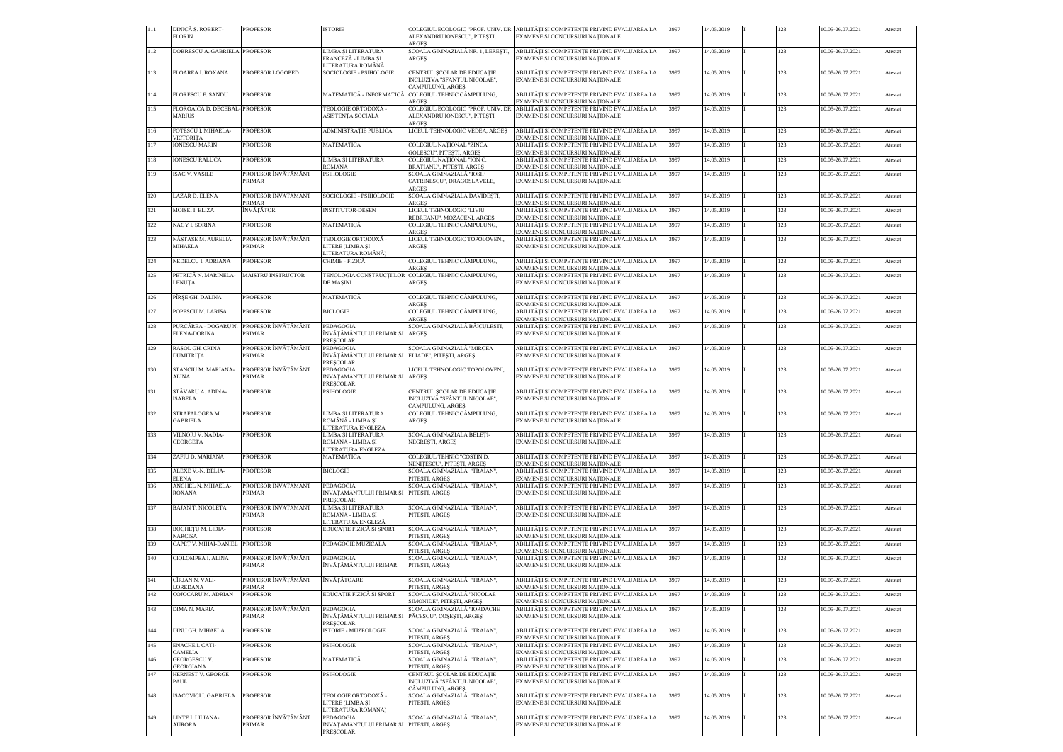| 111 | DINICĂ S. ROBERT-                              | <b>PROFESOR</b>               | <b>ISTORIE</b>                                                             |                                                                                     | COLEGIUL ECOLOGIC "PROF. UNIV. DR. ABILITĂTI SI COMPETENTE PRIVIND EVALUAREA LA                                    | 3997 | 14.05.2019 | 123 | 10.05-26.07.2021 | Atestat |
|-----|------------------------------------------------|-------------------------------|----------------------------------------------------------------------------|-------------------------------------------------------------------------------------|--------------------------------------------------------------------------------------------------------------------|------|------------|-----|------------------|---------|
|     | <b>FLORIN</b>                                  |                               |                                                                            | ALEXANDRU IONESCU", PITESTI,<br>ARGES                                               | EXAMENE SI CONCURSURI NATIONALE                                                                                    |      |            |     |                  |         |
| 112 | DOBRESCU A. GABRIELA PROFESOR                  |                               | LIMBA SI LITERATURA<br>FRANCEZĂ - LIMBA ȘI<br>LITERATURA ROMÂNĂ            | SCOALA GIMNAZIALĂ NR. 1, LERESTI,<br>ARGES                                          | ABILITĂTI SI COMPETENTE PRIVIND EVALUAREA LA<br>EXAMENE ȘI CONCURSURI NAȚIONALE                                    | 3997 | 14.05.2019 | 123 | 10.05-26.07.2021 | Atestat |
| 113 | <b>FLOAREA I. ROXANA</b>                       | PROFESOR LOGOPED              | SOCIOLOGIE - PSIHOLOGIE                                                    | CENTRUL SCOLAR DE EDUCAȚIE<br>INCLUZIVĂ "SFÂNTUL NICOLAE",<br>CÂMPULUNG, ARGEȘ      | ABILITĂȚI ȘI COMPETENȚE PRIVIND EVALUAREA LA<br>EXAMENE ȘI CONCURSURI NAȚIONALE                                    | 3997 | 14.05.2019 | 123 | 10.05-26.07.2021 | Atestat |
| 114 | <b>FLORESCU F. SANDU</b>                       | <b>PROFESOR</b>               | MATEMATICĂ - INFORMATICĂ                                                   | COLEGIUL TEHNIC CÂMPULUNG,<br>ARGES                                                 | ABILITĂȚI ȘI COMPETENȚE PRIVIND EVALUAREA LA<br>EXAMENE ȘI CONCURSURI NAȚIONALE                                    | 3997 | 14.05.2019 | 123 | 10.05-26.07.2021 | Atestat |
| 115 | FLOROAICA D. DECEBAL-PROFESOR<br><b>MARIUS</b> |                               | TEOLOGIE ORTODOXĂ -<br>ASISTENȚĂ SOCIALĂ                                   | ALEXANDRU IONESCU", PITEȘTI,<br>ARGES                                               | COLEGIUL ECOLOGIC "PROF. UNIV. DR. ABILITĂȚI ȘI COMPETENȚE PRIVIND EVALUAREA LA<br>EXAMENE ȘI CONCURSURI NAȚIONALE | 3997 | 14.05.2019 | 123 | 10.05-26.07.2021 | Atestat |
| 116 | FOTESCU I. MIHAELA-<br>VICTORITA               | <b>PROFESOR</b>               | ADMINISTRAȚIE PUBLICĂ                                                      | LICEUL TEHNOLOGIC VEDEA, ARGES                                                      | ABILITĂȚI ȘI COMPETENȚE PRIVIND EVALUAREA LA<br>EXAMENE ȘI CONCURSURI NAȚIONALE                                    | 3997 | 14.05.2019 | 123 | 10.05-26.07.2021 | Atestat |
| 117 | <b>IONESCU MARIN</b>                           | PROFESOR                      | MATEMATICĂ                                                                 | COLEGIUL NAȚIONAL "ZINCA                                                            | ABILITĂȚI ȘI COMPETENȚE PRIVIND EVALUAREA LA                                                                       | 3997 | 14.05.2019 | 123 | 10.05-26.07.2021 | Atestat |
| 118 | <b>IONESCU RALUCA</b>                          | <b>PROFESOR</b>               | LIMBA ȘI LITERATURA                                                        | GOLESCU", PITESTI, ARGES<br>COLEGIUL NAȚIONAL "ION C.                               | EXAMENE SI CONCURSURI NATIONALE<br>ABILITĂȚI ȘI COMPETENȚE PRIVIND EVALUAREA LA                                    | 3997 | 14.05.2019 | 123 | 10.05-26.07.2021 | Atestat |
| 119 | <b>ISAC V. VASILE</b>                          | PROFESOR ÎNVĂTĂMÂNT<br>PRIMAR | ROMÂNĂ<br><b>PSIHOLOGIE</b>                                                | BRĂTIANU", PITEȘTI, ARGEȘ<br>SCOALA GIMNAZIALĂ "IOSIF<br>CATRINESCU", DRAGOSLAVELE, | EXAMENE ȘI CONCURSURI NAȚIONALE<br>ABILITĂȚI ȘI COMPETENȚE PRIVIND EVALUAREA LA<br>EXAMENE ȘI CONCURSURI NAȚIONALE | 3997 | 14.05.2019 | 123 | 10.05-26.07.2021 | Atestat |
| 120 | LAZĂR D. ELENA                                 | PROFESOR ÎNVĂȚĂMÂNT           | SOCIOLOGIE - PSIHOLOGIE                                                    | ARGES<br>ȘCOALA GIMNAZIALĂ DAVIDEȘTI,                                               | ABILITĂȚI ȘI COMPETENȚE PRIVIND EVALUAREA LA                                                                       | 3997 | 14.05.2019 | 123 | 10.05-26.07.2021 | Atestat |
| 121 | MOISEI I. ELIZA                                | PRIMAR<br>ÎNVĂȚĂTOR           | <b>INSTITUTOR-DESEN</b>                                                    | ARGES<br>LICEUL TEHNOLOGIC "LIVIU                                                   | EXAMENE ȘI CONCURSURI NAȚIONALE<br>ABILITĂȚI ȘI COMPETENȚE PRIVIND EVALUAREA LA                                    | 3997 | 14.05.2019 | 123 | 10.05-26.07.2021 | Atestat |
| 122 | NAGY I. SORINA                                 | PROFESOR                      | MATEMATICĂ                                                                 | REBREANU", MOZĂCENI, ARGEȘ<br>COLEGIUL TEHNIC CÂMPULUNG,                            | EXAMENE ȘI CONCURSURI NAȚIONALE<br>ABILITĂȚI ȘI COMPETENȚE PRIVIND EVALUAREA LA                                    | 3997 | 14.05.2019 | 123 | 10.05-26.07.2021 | Atestat |
| 123 | NĂSTASE M. AURELIA-                            | PROFESOR ÎNVĂȚĂMÂNT           | TEOLOGIE ORTODOXĂ -                                                        | <b>ARGES</b><br>LICEUL TEHNOLOGIC TOPOLOVENI,                                       | EXAMENE ȘI CONCURSURI NAȚIONALE<br>ABILITĂȚI ȘI COMPETENȚE PRIVIND EVALUAREA LA                                    | 3997 | 14.05.2019 | 123 | 10.05-26.07.2021 | Atestat |
|     | MIHAELA                                        | PRIMAR                        | LITERE (LIMBA SI<br>LITERATURA ROMÂNĂ)                                     | ARGES                                                                               | EXAMENE ȘI CONCURSURI NAȚIONALE                                                                                    |      |            |     |                  |         |
| 124 | NEDELCU I. ADRIANA                             | <b>PROFESOR</b>               | CHIMIE - FIZICĂ                                                            | COLEGIUL TEHNIC CÂMPULUNG,<br><b>ARGES</b>                                          | ABILITĂȚI ȘI COMPETENȚE PRIVIND EVALUAREA LA<br>EXAMENE ȘI CONCURSURI NAȚIONALE                                    | 3997 | 14.05.2019 | 123 | 10.05-26.07.2021 | Atestat |
| 125 | PETRICĂ N. MARINELA-<br><b>LENUTA</b>          | MAISTRU INSTRUCTOR            | TENOLOGIA CONSTRUCTIILOR<br>DE MASINI                                      | COLEGIUL TEHNIC CÂMPULUNG,<br>ARGES                                                 | ABILITĂȚI ȘI COMPETENȚE PRIVIND EVALUAREA LA<br>EXAMENE ȘI CONCURSURI NAȚIONALE                                    | 3997 | 14.05.2019 | 123 | 10.05-26.07.2021 | Atestat |
| 126 | PÎRȘE GH. DALINA                               | PROFESOR                      | MATEMATICĂ                                                                 | COLEGIUL TEHNIC CÂMPULUNG,<br><b>ARGES</b>                                          | ABILITĂȚI ȘI COMPETENȚE PRIVIND EVALUAREA LA<br>EXAMENE SI CONCURSURI NATIONALE                                    | 3997 | 14.05.2019 | 123 | 10.05-26.07.2021 | Atestat |
| 127 | POPESCU M. LARISA                              | <b>PROFESOR</b>               | <b>BIOLOGIE</b>                                                            | COLEGIUL TEHNIC CÂMPULUNG,<br><b>ARGES</b>                                          | ABILITĂȚI ȘI COMPETENȚE PRIVIND EVALUAREA LA                                                                       | 3997 | 14.05.2019 | 123 | 10.05-26.07.2021 | Atestat |
| 128 | PURCĂREA - DOGARU N.                           | PROFESOR ÎNVĂȚĂMÂNT           | PEDAGOGIA                                                                  | SCOALA GIMNAZIALĂ BĂICULESTI,                                                       | EXAMENE ȘI CONCURSURI NAȚIONALE<br>ABILITĂȚI ȘI COMPETENȚE PRIVIND EVALUAREA LA                                    | 3997 | 14.05.2019 | 123 | 10.05-26.07.2021 | Atestat |
|     | ELENA-DORINA                                   | PRIMAR                        | ÎNVĂȚĂMÂNTULUI PRIMAR ȘI<br><b>PRESCOLAR</b>                               | <b>ARGES</b>                                                                        | EXAMENE ȘI CONCURSURI NAȚIONALE                                                                                    |      |            |     |                  |         |
| 129 | RASOL GH. CRINA<br><b>DUMITRITA</b>            | PROFESOR ÎNVĂȚĂMÂNT<br>PRIMAR | PEDAGOGIA<br>ÎNVĂȚĂMÂNTULUI PRIMAR ȘI ELIADE", PITEȘTI, ARGEȘ<br>PRESCOLAR | SCOALA GIMNAZIALĂ "MIRCEA                                                           | ABILITĂȚI ȘI COMPETENȚE PRIVIND EVALUAREA LA<br>EXAMENE ȘI CONCURSURI NAȚIONALE                                    | 3997 | 14.05.2019 | 123 | 10.05-26.07.2021 | Atestat |
| 130 | STANCIU M. MARIANA-<br>ALINA                   | PROFESOR ÎNVĂȚĂMÂNT<br>PRIMAR | PEDAGOGIA<br>ÎNVĂȚĂMÂNTULUI PRIMAR ȘI<br><b>PRESCOLAR</b>                  | LICEUL TEHNOLOGIC TOPOLOVENI,<br><b>ARGES</b>                                       | ABILITĂȚI ȘI COMPETENȚE PRIVIND EVALUAREA LA<br>EXAMENE SI CONCURSURI NATIONALE                                    | 3997 | 14.05.2019 | 123 | 10.05-26.07.2021 | Atestat |
| 131 | STĂVARU A. ADINA-<br><b>ISABELA</b>            | <b>PROFESOR</b>               | PSIHOLOGIE                                                                 | CENTRUL SCOLAR DE EDUCAȚIE<br>INCLUZIVĂ "SFÂNTUL NICOLAE",<br>CÂMPULUNG, ARGES      | ABILITĂȚI ȘI COMPETENȚE PRIVIND EVALUAREA LA<br>EXAMENE SI CONCURSURI NATIONALE                                    | 3997 | 14.05.2019 | 123 | 10.05-26.07.2021 | Atestat |
| 132 | STRAFALOGEA M.<br>GABRIELA                     | <b>PROFESOR</b>               | LIMBA ȘI LITERATURA<br>ROMÂNĂ - LIMBA ȘI<br>LITERATURA ENGLEZĂ             | COLEGIUL TEHNIC CÂMPULUNG,<br>ARGEŞ                                                 | ABILITĂȚI ȘI COMPETENȚE PRIVIND EVALUAREA LA<br>EXAMENE ȘI CONCURSURI NAȚIONALE                                    | 3997 | 14.05.2019 | 123 | 10.05-26.07.2021 | Atestat |
| 133 | VÎLNOIU V. NADIA-<br><b>GEORGETA</b>           | PROFESOR                      | LIMBA ȘI LITERATURA<br>ROMÂNĂ - LIMBA ȘI<br>LITERATURA ENGLEZĂ             | ȘCOALA GIMNAZIALĂ BELEȚI-<br>NEGRESTI, ARGES                                        | ABILITĂȚI ȘI COMPETENȚE PRIVIND EVALUAREA LA<br>EXAMENE SI CONCURSURI NATIONALE                                    | 3997 | 14.05.2019 | 123 | 10.05-26.07.2021 | Atestat |
| 134 | ZAFIU D. MARIANA                               | <b>PROFESOR</b>               | MATEMATICĂ                                                                 | COLEGIUL TEHNIC "COSTIN D.<br>NENITESCU", PITEȘTI, ARGEȘ                            | ABILITĂȚI ȘI COMPETENȚE PRIVIND EVALUAREA LA<br>EXAMENE ȘI CONCURSURI NAȚIONALE                                    | 3997 | 14.05.2019 | 123 | 10.05-26.07.2021 | Atestat |
| 135 | ALEXE V.-N. DELIA-<br><b>ELENA</b>             | PROFESOR                      | <b>BIOLOGIE</b>                                                            | SCOALA GIMNAZIALĂ "TRAIAN".<br>PITEȘTI, ARGEȘ                                       | ABILITĂȚI ȘI COMPETENȚE PRIVIND EVALUAREA LA<br>EXAMENE ȘI CONCURSURI NAȚIONALE                                    | 3997 | 14.05.2019 | 123 | 10.05-26.07.2021 | Atestat |
| 136 | ANGHEL N. MIHAELA-<br><b>ROXANA</b>            | PROFESOR ÎNVĂȚĂMÂNT<br>PRIMAR | PEDAGOGIA<br>ÎNVĂTĂMÂNTULUI PRIMAR SI PITESTI, ARGES<br><b>PRESCOLAR</b>   | SCOALA GIMNAZIALĂ "TRAIAN".                                                         | ABILITĂȚI ȘI COMPETENȚE PRIVIND EVALUAREA LA<br>EXAMENE ȘI CONCURSURI NAȚIONALE                                    | 3997 | 14.05.2019 | 123 | 10.05-26.07.2021 | Atestat |
| 137 | BĂJAN T. NICOLETA                              | PROFESOR ÎNVĂȚĂMÂNT<br>PRIMAR | LIMBA SI LITERATURA<br>ROMÂNĂ - LIMBA ȘI                                   | SCOALA GIMNAZIALĂ "TRAIAN",<br>PITEȘTI, ARGEȘ                                       | ABILITĂȚI ȘI COMPETENȚE PRIVIND EVALUAREA LA<br>EXAMENE ȘI CONCURSURI NAȚIONALE                                    | 3997 | 14.05.2019 | 123 | 10.05-26.07.2021 | Atestat |
| 138 | BOGHETU M. LIDIA-                              | <b>PROFESOR</b>               | LITERATURA ENGLEZĂ<br>EDUCAȚIE FIZICĂ ȘI SPORT                             | SCOALA GIMNAZIALĂ "TRAIAN",                                                         | ABILITĂȚI ȘI COMPETENȚE PRIVIND EVALUAREA LA                                                                       | 3997 | 14.05.2019 | 123 | 10.05-26.07.2021 | Atestat |
| 139 | <b>NARCISA</b><br>CĂPEȚ V. MIHAI-DANIEL        | <b>PROFESOR</b>               | PEDAGOGIE MUZICALĂ                                                         | PITEȘTI, ARGEȘ<br>SCOALA GIMNAZIALĂ "TRAIAN",                                       | EXAMENE ȘI CONCURSURI NAȚIONALE<br>ABILITĂȚI ȘI COMPETENȚE PRIVIND EVALUAREA LA                                    | 3997 | 14.05.2019 | 123 | 10.05-26.07.2021 | Atestat |
| 140 | CIOLOMPEA I. ALINA                             | PROFESOR ÎNVĂȚĂMÂNT<br>PRIMAR | PEDAGOGIA<br>ÎNVĂTĂMÂNTULUI PRIMAR                                         | PITESTI, ARGES<br>ȘCOALA GIMNAZIALĂ "TRAIAN",<br>PITEȘTI, ARGEȘ                     | EXAMENE ȘI CONCURSURI NAȚIONALE<br>ABILITĂȚI ȘI COMPETENȚE PRIVIND EVALUAREA LA<br>EXAMENE ȘI CONCURSURI NAȚIONALE | 3997 | 14.05.2019 | 123 | 10.05-26.07.2021 | Atestat |
| 141 | CÎRJAN N. VALI-                                | PROFESOR ÎNVĂȚĂMÂNT           | ÎNVĂȚĂTOARE                                                                | ȘCOALA GIMNAZIALĂ "TRAIAN",                                                         | ABILITĂȚI ȘI COMPETENȚE PRIVIND EVALUAREA LA                                                                       | 3997 | 14.05.2019 | 123 | 10.05-26.07.2021 | Atestat |
| 142 | LOREDANA<br>COJOCARU M. ADRIAN                 | PRIMAR<br>PROFESOR            | EDUCAȚIE FIZICĂ ȘI SPORT                                                   | PITESTI, ARGES<br>SCOALA GIMNAZIALĂ "NICOLAE                                        | EXAMENE ȘI CONCURSURI NAȚIONALE<br>ABILITĂȚI ȘI COMPETENȚE PRIVIND EVALUAREA LA                                    | 3997 | 14.05.2019 | 123 | 10.05-26.07.2021 | Atestat |
| 143 | DIMA N. MARIA                                  | PROFESOR ÎNVĂȚĂMÂNT           | PEDAGOGIA                                                                  | SIMONIDE", PITEȘTI, ARGEȘ<br>SCOALA GIMNAZIALĂ "IORDACHE                            | EXAMENE ȘI CONCURSURI NAȚIONALE<br>ABILITĂȚI ȘI COMPETENȚE PRIVIND EVALUAREA LA                                    | 3997 | 14.05.2019 | 123 | 10.05-26.07.2021 | Atestat |
|     |                                                | PRIMAR                        | ÎNVĂȚĂMÂNTULUI PRIMAR ȘI PĂCESCU", COȘEȘTI, ARGEȘ<br><b>PRESCOLAR</b>      |                                                                                     | EXAMENE ȘI CONCURSURI NAȚIONALE                                                                                    |      |            |     |                  |         |
| 144 | DINU GH. MIHAELA                               | PROFESOR                      | <b>ISTORIE - MUZEOLOGIE</b>                                                | ȘCOALA GIMNAZIALĂ "TRAIAN",<br>PITEȘTI, ARGEȘ                                       | ABILITĂȚI ȘI COMPETENȚE PRIVIND EVALUAREA LA<br>EXAMENE ȘI CONCURSURI NAȚIONALE                                    | 3997 | 14.05.2019 | 123 | 10.05-26.07.2021 | Atestat |
| 145 | <b>ENACHE I. CATI-</b><br>CAMELIA              | <b>PROFESOR</b>               | PSIHOLOGIE                                                                 | ȘCOALA GIMNAZIALĂ "TRAIAN",<br>PITESTI, ARGES                                       | ABILITĂȚI ȘI COMPETENȚE PRIVIND EVALUAREA LA<br>EXAMENE ȘI CONCURSURI NAȚIONALE                                    | 3997 | 14.05.2019 | 123 | 10.05-26.07.2021 | Atestat |
| 146 | <b>GEORGESCU V.</b><br><b>GEORGIANA</b>        | PROFESOR                      | MATEMATICĂ                                                                 | ȘCOALA GIMNAZIALĂ "TRAIAN",<br>PITESTI, ARGES                                       | ABILITĂȚI ȘI COMPETENȚE PRIVIND EVALUAREA LA<br>EXAMENE SI CONCURSURI NATIONALE                                    | 3997 | 14.05.2019 | 123 | 10.05-26.07.2021 | Atestat |
| 147 | HERNEST V. GEORGE<br>PAUL                      | <b>PROFESOR</b>               | PSIHOLOGIE                                                                 | CENTRUL ȘCOLAR DE EDUCAȚIE<br>INCLUZIVĂ "SFÂNTUL NICOLAE",                          | ABILITĂȚI ȘI COMPETENȚE PRIVIND EVALUAREA LA<br>EXAMENE ȘI CONCURSURI NAȚIONALE                                    | 3997 | 14.05.2019 | 123 | 10.05-26.07.2021 | Atestat |
| 148 | ISACOVICI I. GABRIELA                          | <b>PROFESOR</b>               | TEOLOGIE ORTODOXĂ -                                                        | CÂMPULUNG, ARGEȘ<br>ȘCOALA GIMNAZIALĂ "TRAIAN",                                     | ABILITĂȚI ȘI COMPETENȚE PRIVIND EVALUAREA LA                                                                       | 3997 | 14.05.2019 | 123 | 10.05-26.07.2021 | Atestat |
|     |                                                |                               | LITERE (LIMBA ȘI<br>LITERATURA ROMÂNĂ)                                     | PITEȘTI, ARGEȘ                                                                      | EXAMENE ȘI CONCURSURI NAȚIONALE                                                                                    |      |            |     |                  |         |
| 149 | LINTE I. LILIANA-<br><b>AURORA</b>             | PROFESOR ÎNVĂȚĂMÂNT<br>PRIMAR | PEDAGOGIA<br>ÎNVĂȚĂMÂNTULUI PRIMAR ȘI PITEȘTI, ARGEȘ<br>PRESCOLAR          | ȘCOALA GIMNAZIALĂ "TRAIAN",                                                         | ABILITĂȚI ȘI COMPETENȚE PRIVIND EVALUAREA LA<br>EXAMENE ȘI CONCURSURI NAȚIONALE                                    | 3997 | 14.05.2019 | 123 | 10.05-26.07.2021 | Atestat |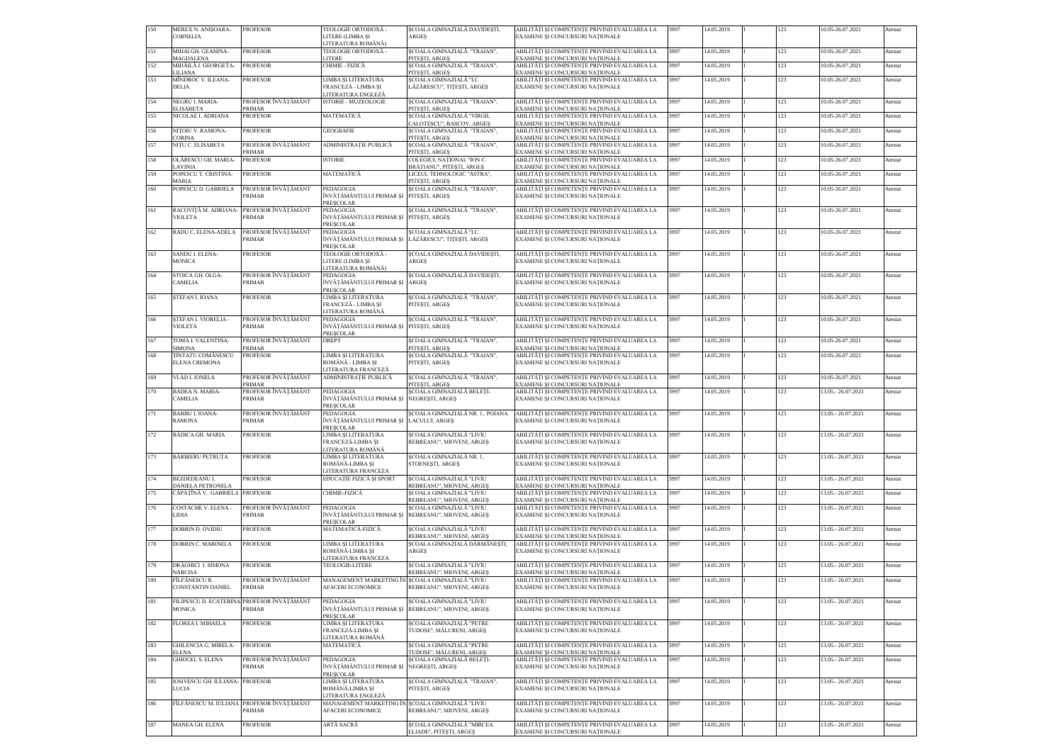| 150 | MEREX N. ANISOARA-<br><b>CORNELIA</b>         | <b>PROFESOR</b>               | TEOLOGIE ORTODOXĂ -<br>LITERE (LIMBA ȘI                                             | SCOALA GIMNAZIALĂ DAVIDESTI,<br>ARGES                                           | ABILITĂȚI ȘI COMPETENȚE PRIVIND EVALUAREA LA<br>EXAMENE SI CONCURSURI NATIONALE | 3997 | 14.05.2019 | 123 | 10.05-26.07.2021    | Atestat |
|-----|-----------------------------------------------|-------------------------------|-------------------------------------------------------------------------------------|---------------------------------------------------------------------------------|---------------------------------------------------------------------------------|------|------------|-----|---------------------|---------|
| 151 | MIHAI GH. GEANINA-                            | <b>PROFESOR</b>               | LITERATURA ROMÂNĂ)<br>TEOLOGIE ORTODOXĂ -                                           | SCOALA GIMNAZIALĂ "TRAIAN",                                                     | ABILITĂTI SI COMPETENTE PRIVIND EVALUAREA LA                                    | 3997 | 14.05.2019 | 123 | 10.05-26.07.2021    | Atestat |
| 152 | <b>MAGDALENA</b><br>MIHĂILĂ I. GEORGETA-      | <b>PROFESOR</b>               | <b>ITERE</b><br>CHIMIE - FIZICĂ                                                     | PITESTI, ARGES<br>ȘCOALA GIMNAZIALĂ "TRAIAN",                                   | EXAMENE ȘI CONCURSURI NAȚIONALE<br>ABILITĂȚI ȘI COMPETENȚE PRIVIND EVALUAREA LA | 3997 | 14.05.2019 | 123 | 10.05-26.07.2021    | Atestat |
| 153 | LILIANA<br>MÎNDROC V. ILEANA-                 | <b>PROFESOR</b>               | LIMBA ȘI LITERATURA                                                                 | PITESTI, ARGES<br>SCOALA GIMNAZIALĂ "I.C.                                       | EXAMENE ȘI CONCURSURI NAȚIONALE<br>ABILITĂȚI ȘI COMPETENȚE PRIVIND EVALUAREA LA | 3997 | 14.05.2019 | 123 | 10.05-26.07.2021    | Atestat |
|     | <b>DELIA</b>                                  |                               | FRANCEZĂ - LIMBA SI<br>LITERATURA ENGLEZĂ                                           | LĂZĂRESCU", TITESTI, ARGES                                                      | EXAMENE ȘI CONCURSURI NAȚIONALE                                                 |      |            |     |                     |         |
| 154 | NEGRU I. MARIA-                               | PROFESOR ÎNVĂTĂMÂNT           | ISTORIE - MUZEOLOGIE                                                                | SCOALA GIMNAZIALĂ "TRAIAN",                                                     | ABILITĂȚI ȘI COMPETENȚE PRIVIND EVALUAREA LA                                    | 3997 | 14.05.2019 | 123 | 10.05-26.07.2021    | Atestat |
| 155 | <b>ELISABETA</b><br>NICOLAE I. ADRIANA        | PRIMAR<br><b>PROFESOR</b>     | MATEMATICĂ                                                                          | PITESTI, ARGES<br>SCOALA GIMNAZIALĂ "VIRGIL                                     | EXAMENE SI CONCURSURI NATIONALE<br>ABILITĂȚI ȘI COMPETENȚE PRIVIND EVALUAREA LA | 3997 | 14.05.2019 | 123 | 10.05-26.07.2021    | Atestat |
| 156 | NITOIU V. RAMONA-                             | <b>PROFESOR</b>               | <b>GEOGRAFIE</b>                                                                    | CALOTESCU", BASCOV, ARGES<br>SCOALA GIMNAZIALĂ "TRAIAN".                        | EXAMENE ȘI CONCURSURI NAȚIONALE<br>ABILITĂȚI ȘI COMPETENȚE PRIVIND EVALUAREA LA | 3997 | 14.05.2019 | 123 | 10.05-26.07.2021    | Atestat |
| 157 | <b>CORINA</b><br>NIȚU C. ELISABETA            | PROFESOR ÎNVĂTĂMÂNT           | ADMINISTRAȚIE PUBLICĂ                                                               | PITESTI, ARGES<br>ȘCOALA GIMNAZIALĂ "TRAIAN",                                   | EXAMENE ȘI CONCURSURI NAȚIONALE<br>ABILITĂȚI ȘI COMPETENȚE PRIVIND EVALUAREA LA | 3997 | 14.05.2019 | 123 | 10.05-26.07.2021    | Atestat |
| 158 | OLĂRESCU GH. MARIA-                           | PRIMAR<br><b>PROFESOR</b>     | <b>STORIE</b>                                                                       | PITEȘTI, ARGEȘ<br>COLEGIUL NAȚIONAL "ION C.                                     | EXAMENE ȘI CONCURSURI NAȚIONALE<br>ABILITĂȚI ȘI COMPETENȚE PRIVIND EVALUAREA LA | 3997 | 14.05.2019 | 123 | 10.05-26.07.2021    | Atestat |
| 159 | LAVINIA<br>POPESCU T. CRISTINA-               | <b>PROFESOR</b>               | MATEMATICĂ                                                                          | BRĂTIANU", PITEȘTI, ARGEȘ<br>LICEUL TEHNOLOGIC "ASTRA",                         | EXAMENE ȘI CONCURSURI NAȚIONALE<br>ABILITĂȚI ȘI COMPETENȚE PRIVIND EVALUAREA LA | 3997 | 14.05.2019 | 123 | 10.05-26.07.2021    | Atestat |
|     | <b>MARIA</b>                                  |                               |                                                                                     | PITESTI, ARGES                                                                  | EXAMENE ȘI CONCURSURI NAȚIONALE                                                 |      |            |     |                     |         |
| 160 | POPESCU D. GABRIELA                           | PROFESOR ÎNVĂȚĂMÂNT<br>PRIMAR | PEDAGOGIA<br>NVĂTĂMÂNTULUI PRIMAR ȘI PITEȘTI, ARGEȘ<br><b>PRESCOLAR</b>             | ȘCOALA GIMNAZIALĂ "TRAIAN",                                                     | ABILITĂȚI ȘI COMPETENȚE PRIVIND EVALUAREA LA<br>EXAMENE ȘI CONCURSURI NAȚIONALE | 3997 | 14.05.2019 | 123 | 10.05-26.07.2021    | Atestat |
| 161 | RACOVIȚĂ M. ADRIANA<br><b>VIOLETA</b>         | PROFESOR ÎNVĂȚĂMÂNT<br>PRIMAR | PEDAGOGIA<br>ÎNVĂTĂMÂNTULUI PRIMAR ȘI PITEȘTI, ARGEȘ<br>PRESCOLAR                   | SCOALA GIMNAZIALĂ "TRAIAN".                                                     | ABILITĂȚI ȘI COMPETENȚE PRIVIND EVALUAREA LA<br>EXAMENE SI CONCURSURI NATIONALE | 3997 | 14.05.2019 | 123 | 10.05-26.07.2021    | Atestat |
| 162 | RADU C. ELENA-ADELA                           | PROFESOR ÎNVĂȚĂMÂNT<br>PRIMAR | PEDAGOGIA<br>NVĂȚĂMÂNTULUI PRIMAR ȘI LĂZĂRESCU", TITESTI, ARGES<br><b>PRESCOLAR</b> | SCOALA GIMNAZIALĂ "I.C.                                                         | ABILITĂȚI ȘI COMPETENȚE PRIVIND EVALUAREA LA<br>EXAMENE ȘI CONCURSURI NAȚIONALE | 3997 | 14.05.2019 | 123 | 10.05-26.07.2021    | Atestat |
| 163 | SANDU I. ELENA-                               | <b>PROFESOR</b>               | TEOLOGIE ORTODOXĂ -                                                                 | SCOALA GIMNAZIALĂ DAVIDEȘTI,                                                    | ABILITĂȚI ȘI COMPETENȚE PRIVIND EVALUAREA LA                                    | 3997 | 14.05.2019 | 123 | 10.05-26.07.2021    | Atestat |
|     | <b>MONICA</b>                                 |                               | LITERE (LIMBA SI<br>LITERATURA ROMÂNĂ)                                              | <b>ARGES</b>                                                                    | EXAMENE ȘI CONCURSURI NAȚIONALE                                                 |      |            |     |                     |         |
| 164 | STOICA GH. OLGA-<br><b>CAMELIA</b>            | PROFESOR ÎNVĂȚĂMÂNT<br>PRIMAR | PEDAGOGIA<br>NVĂTĂMÂNTULUI PRIMAR SI<br><b>PRESCOLAR</b>                            | ȘCOALA GIMNAZIALĂ DAVIDEȘTI,<br><b>ARGES</b>                                    | ABILITĂȚI ȘI COMPETENȚE PRIVIND EVALUAREA LA<br>EXAMENE ȘI CONCURSURI NAȚIONALE | 3997 | 14.05.2019 | 123 | 10.05-26.07.2021    | Atestat |
| 165 | STEFAN I. IOANA                               | <b>PROFESOR</b>               | LIMBA ȘI LITERATURA<br>FRANCEZĂ - LIMBA ȘI<br>LITERATURA ROMÂNĂ                     | SCOALA GIMNAZIALĂ "TRAIAN",<br>PITESTI, ARGES                                   | ABILITĂȚI ȘI COMPETENȚE PRIVIND EVALUAREA LA<br>EXAMENE ȘI CONCURSURI NAȚIONALE | 3997 | 14.05.2019 | 123 | 10.05-26.07.2021    | Atestat |
| 166 | STEFAN I. VIORELIA -<br><b>VIOLETA</b>        | PROFESOR ÎNVĂȚĂMÂNT<br>PRIMAR | PEDAGOGIA<br>NVĂȚĂMÂNTULUI PRIMAR ȘI PITEȘTI, ARGEȘ<br>PRESCOLAR                    | SCOALA GIMNAZIALĂ "TRAIAN",                                                     | ABILITĂȚI ȘI COMPETENȚE PRIVIND EVALUAREA LA<br>EXAMENE ȘI CONCURSURI NAȚIONALE | 3997 | 14.05.2019 | 123 | 10.05-26.07.2021    | Atestat |
| 167 | TOMA I. VALENTINA-                            | PROFESOR ÎNVĂȚĂMÂNT           | <b>DREPT</b>                                                                        | ȘCOALA GIMNAZIALĂ "TRAIAN",                                                     | ABILITĂȚI ȘI COMPETENȚE PRIVIND EVALUAREA LA                                    | 3997 | 14.05.2019 | 123 | 10.05-26.07.2021    | Atestat |
| 168 | <b>SIMONA</b><br><b>TINTATU COMĂNESCU</b>     | PRIMAR<br><b>PROFESOR</b>     | LIMBA ȘI LITERATURA                                                                 | PITESTI, ARGES<br>ȘCOALA GIMNAZIALĂ "TRAIAN",                                   | EXAMENE SI CONCURSURI NATIONALE<br>ABILITĂȚI ȘI COMPETENȚE PRIVIND EVALUAREA LA | 3997 | 14.05.2019 | 123 | 10.05-26.07.2021    | Atestat |
| 169 | <b>ELENA CREMONA</b><br><b>VLAD I. IONELA</b> | PROFESOR ÎNVĂTĂMÂNT           | ROMÂNĂ - LIMBA SI<br>LITERATURA FRANCEZĂ<br>ADMINISTRAȚIE PUBLICĂ                   | PITESTI, ARGES<br>ȘCOALA GIMNAZIALĂ "TRAIAN",                                   | EXAMENE ȘI CONCURSURI NAȚIONALE<br>ABILITĂȚI ȘI COMPETENȚE PRIVIND EVALUAREA LA | 3997 | 14.05.2019 | 123 | 10.05-26.07.2021    | Atestat |
|     |                                               | PRIMAR                        |                                                                                     | PITESTI, ARGES                                                                  | EXAMENE ȘI CONCURSURI NAȚIONALE                                                 |      |            |     |                     |         |
| 170 | <b>BADEA N. MARIA-</b><br><b>CAMELIA</b>      | PROFESOR ÎNVĂTĂMÂNT<br>PRIMAR | PEDAGOGIA<br>NVĂȚĂMÂNTULUI PRIMAR ȘI NEGRESTI, ARGES<br><b>PRESCOLAR</b>            | SCOALA GIMNAZIALĂ BELEȚI-                                                       | ABILITĂȚI ȘI COMPETENȚE PRIVIND EVALUAREA LA<br>EXAMENE ȘI CONCURSURI NAȚIONALE | 3997 | 14.05.2019 | 123 | 13.05.-26.07.2021   | Atestat |
| 171 | <b>BARBU I. IOANA-</b><br><b>RAMONA</b>       | PROFESOR ÎNVĂȚĂMÂNT<br>PRIMAR | PEDAGOGIA<br>ÎNVĂȚĂMÂNTULUI PRIMAR ȘI LACULUI, ARGEȘ<br>PRESCOLAR                   | ȘCOALA GIMNAZIALĂ NR. 1, POIANA                                                 | ABILITĂȚI ȘI COMPETENȚE PRIVIND EVALUAREA LA<br>EXAMENE ȘI CONCURSURI NAȚIONALE | 3997 | 14.05.2019 | 123 | 13.05.-26.07.2021   | Atestat |
| 172 | <b>BĂDICA GH. MARIA</b>                       | <b>PROFESOR</b>               | LIMBA SI LITERATURA<br>FRANCEZĂ-LIMBA ȘI<br>LITERATURA ROMĂNĂ                       | ȘCOALA GIMNAZIALĂ "LIVIU<br>REBREANU", MIOVENI, ARGES                           | ABILITĂȚI ȘI COMPETENȚE PRIVIND EVALUAREA LA<br>EXAMENE SI CONCURSURI NATIONALE | 3997 | 14.05.2019 | 123 | 3.05.-26.07.2021    | Atestat |
| 173 | <b>BĂRBIERU PETRUTA</b>                       | <b>PROFESOR</b>               | LIMBA ȘI LITERATURA<br>ROMÂNĂ-LIMBA ȘI<br><b>LITERATURA FRANCEZA</b>                | ȘCOALA GIMNAZIALĂ NR. 1,<br>STOENESTI, ARGES                                    | ABILITĂȚI ȘI COMPETENȚE PRIVIND EVALUAREA LA<br>EXAMENE ȘI CONCURSURI NAȚIONALE | 3997 | 14.05.2019 | 123 | 13.05.-26.07.2021   | Atestat |
| 174 | <b>BEZDEDEANU I.</b><br>DANIELA PETRONELA     | <b>PROFESOR</b>               | EDUCAȚIE FIZICĂ ȘI SPORT                                                            | SCOALA GIMNAZIALĂ "LIVIU<br>REBREANU", MIOVENI, ARGEȘ                           | ABILITĂȚI ȘI COMPETENȚE PRIVIND EVALUAREA LA<br>EXAMENE ȘI CONCURSURI NAȚIONALE | 3997 | 14.05.2019 | 123 | 13.05.-26.07.2021   | Atestat |
| 175 | CĂPĂȚÎNĂ V. GABRIELA PROFESOR                 |                               | CHIMIE-FIZICĂ                                                                       | SCOALA GIMNAZIALĂ "LIVIU                                                        | ABILITĂȚI ȘI COMPETENȚE PRIVIND EVALUAREA LA                                    | 3997 | 14.05.2019 | 123 | 13.05. - 26.07.2021 | Atestat |
| 176 | COSTACHE V. ELENA                             | PROFESOR ÎNVĂȚĂMÂNT           | PEDAGOGIA                                                                           | REBREANU", MIOVENI, ARGEȘ<br>SCOALA GIMNAZIALĂ "LIVIU                           | EXAMENE ȘI CONCURSURI NAȚIONALE<br>ABILITĂȚI ȘI COMPETENȚE PRIVIND EVALUAREA LA | 3997 | 14.05.2019 | 123 | 13.05.-26.07.2021   | Atestat |
|     | LIDIA                                         | PRIMAR                        | NVĂȚĂMÂNTULUI PRIMAR ȘI REBREANU", MIOVENI, ARGEȘ<br>PRESCOLAR                      |                                                                                 | EXAMENE ȘI CONCURSURI NAȚIONALE                                                 |      |            |     |                     |         |
| 177 | DOBRIN D. OVIDIU                              | PROFESOR                      | MATEMATICĂ-FIZICĂ                                                                   | SCOALA GIMNAZIALĂ "LIVIU<br>REBREANU", MIOVENI, ARGEȘ                           | ABILITĂȚI ȘI COMPETENȚE PRIVIND EVALUAREA LA<br>EXAMENE ȘI CONCURSURI NAȚIONALE | 3997 | 14.05.2019 | 123 | 13.05.-26.07.2021   | Atestat |
| 178 | DOBRIN C. MARINELA                            | <b>PROFESOR</b>               | LIMBA ȘI LITERATURA<br>ROMÂNĂ-LIMBA ȘI<br>LITERATURA FRANCEZA                       | ȘCOALA GIMNAZIALĂ DÂRMĂNEȘTI,<br>ARGES                                          | ABILITĂȚI ȘI COMPETENȚE PRIVIND EVALUAREA LA<br>EXAMENE ȘI CONCURSURI NAȚIONALE | 3997 | 14.05.2019 | 123 | 13.05. - 26.07.2021 | Atestat |
| 179 | DRĂGHICI I. SIMONA<br><b>NARCISA</b>          | <b>PROFESOR</b>               | TEOLOGIE-LITERE                                                                     | SCOALA GIMNAZIALĂ "LIVIU<br>REBREANU", MIOVENI, ARGES                           | ABILITĂȚI ȘI COMPETENȚE PRIVIND EVALUAREA LA<br>EXAMENE SI CONCURSURI NATIONALE | 3997 | 14.05.2019 | 123 | 13.05.-26.07.2021   | Atestat |
| 180 | FÎLFĂNESCU R.<br><b>CONSTANTIN DANIEL</b>     | PROFESOR ÎNVĂȚĂMÂNI<br>PRIMAR | MANAGEMENT MARKETING ÎN SCOALA GIMNAZIALĂ "LIVIU<br>AFACERI ECONOMICE               | REBREANU", MIOVENI, ARGEȘ                                                       | ABILITĂȚI ȘI COMPETENȚE PRIVIND EVALUAREA LA<br>EXAMENE ȘI CONCURSURI NAȚIONALE | 3997 | 14.05.2019 | 123 | 13.05.-26.07.2021   | Atestat |
| 181 | FILIPESCU D. ECATERIN<br><b>MONICA</b>        | PROFESOR ÎNVĂȚĂMÂNT<br>PRIMAR | PEDAGOGIA                                                                           | ȘCOALA GIMNAZIALĂ "LIVIU<br>NVĂȚĂMÂNTULUI PRIMAR ȘI   REBREANU", MIOVENI, ARGEȘ | ABILITĂȚI ȘI COMPETENȚE PRIVIND EVALUAREA LA<br>EXAMENE ȘI CONCURSURI NAȚIONALE | 3997 | 14.05.2019 | 123 | 13.05. - 26.07.2021 | Atestat |
| 182 | <b>FLOREA I. MIHAELA</b>                      | <b>PROFESOR</b>               | PRESCOLAR<br>LIMBA ȘI LITERATURA                                                    | ȘCOALA GIMNAZIALĂ "PETRE                                                        | ABILITĂȚI ȘI COMPETENȚE PRIVIND EVALUAREA LA                                    | 3997 | 14.05.2019 | 123 | 13.05.-26.07.2021   | Atestat |
|     |                                               |                               | FRANCEZĂ-LIMBA ȘI<br>LITERATURA ROMĂNĂ                                              | TUDOSE", MĂLURENI, ARGEȘ                                                        | EXAMENE ȘI CONCURSURI NAȚIONALE                                                 |      |            |     |                     |         |
| 183 | GHILENCIA G. MIRELA-<br><b>ELENA</b>          | <b>PROFESOR</b>               | MATEMATICĂ                                                                          | ȘCOALA GIMNAZIALĂ "PETRE<br>TUDOSE", MĂLURENI, ARGES                            | ABILITĂȚI ȘI COMPETENȚE PRIVIND EVALUAREA LA<br>EXAMENE ȘI CONCURSURI NAȚIONALE | 3997 | 14.05.2019 | 123 | 13.05.-26.07.2021   | Atestat |
| 184 | <b>GHIOCEL S. ELENA</b>                       | PROFESOR ÎNVĂȚĂMÂNT<br>PRIMAR | PEDAGOGIA<br>NVĂȚĂMÂNTULUI PRIMAR ȘI NEGREȘTI, ARGEȘ<br><b>PRESCOLAR</b>            | ȘCOALA GIMNAZIALĂ BELEȚI-                                                       | ABILITĂȚI ȘI COMPETENȚE PRIVIND EVALUAREA LA<br>EXAMENE ȘI CONCURSURI NAȚIONALE | 3997 | 14.05.2019 | 123 | 13.05.-26.07.2021   | Atestat |
| 185 | IOSIVESCU GH. IULIANA-<br><b>LUCIA</b>        | <b>PROFESOR</b>               | LIMBA ȘI LITERATURA<br>ROMÂNĂ-LIMBA SI<br>LITERATURA ENGLEZĂ                        | ȘCOALA GIMNAZIALĂ "TRAIAN",<br>PITESTI, ARGES                                   | ABILITĂȚI ȘI COMPETENȚE PRIVIND EVALUAREA LA<br>EXAMENE ȘI CONCURSURI NAȚIONALE | 3997 | 14.05.2019 | 123 | 13.05.-26.07.2021   | Atestat |
| 186 | FÎLFĂNESCU M. IULIANA                         | PROFESOR ÎNVĂȚĂMÂNT<br>PRIMAR | MANAGEMENT MARKETING ÎN SCOALA GIMNAZIALĂ "LIVIU<br><b>AFACERI ECONOMICE</b>        | REBREANU", MIOVENI, ARGES                                                       | ABILITĂȚI ȘI COMPETENȚE PRIVIND EVALUAREA LA<br>EXAMENE ȘI CONCURSURI NAȚIONALE | 3997 | 14.05.2019 | 123 | 13.05.-26.07.2021   | Atestat |
| 187 | MANEA GH. ELENA                               | PROFESOR                      | ARTĂ SACRĂ                                                                          | ȘCOALA GIMNAZIALĂ "MIRCEA<br>ELIADE", PITEȘTI, ARGEȘ                            | ABILITĂȚI ȘI COMPETENȚE PRIVIND EVALUAREA LA<br>EXAMENE SI CONCURSURI NATIONALE | 3997 | 14.05.2019 | 123 | 13.05.-26.07.2021   | Atestat |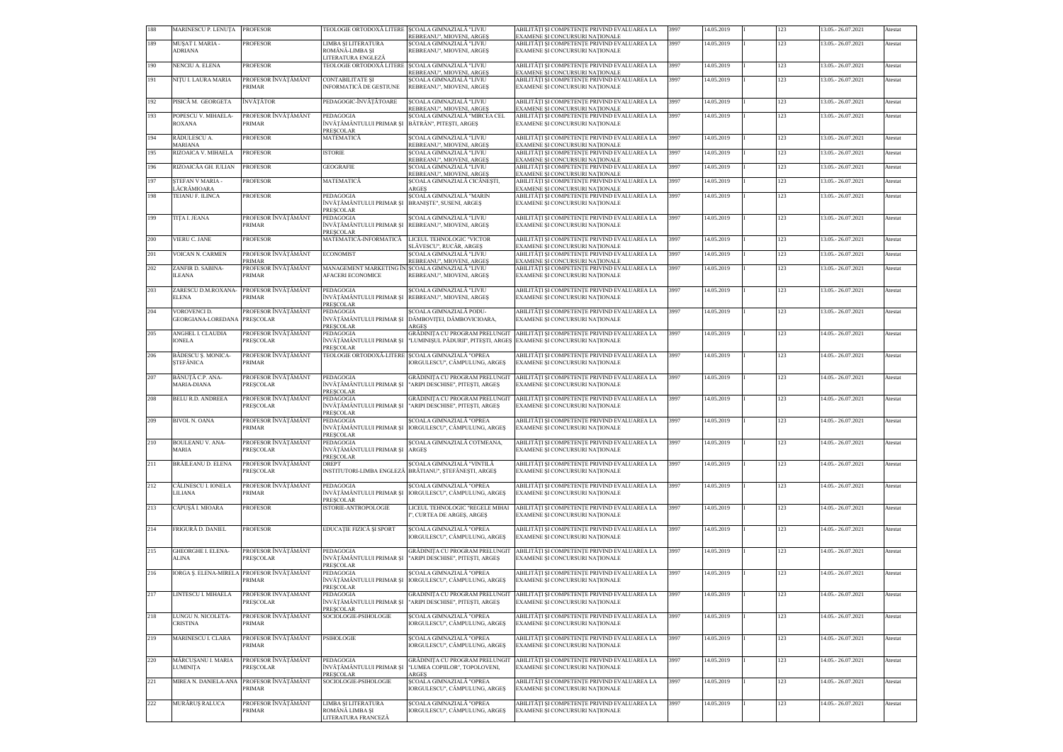| 188 | MARINESCU P. LENUȚA                                  | <b>PROFESOR</b>                                    | TEOLOGIE ORTODOXĂ LITERE  ȘCOALA GIMNAZIALĂ "LIVIU                                               | REBREANU", MIOVENI, ARGES                                                                    | ABILITĂȚI ȘI COMPETENȚE PRIVIND EVALUAREA LA<br>EXAMENE SI CONCURSURI NATIONALE                                                                    | 3997 | 14.05.2019 | 123 | 13.05.-26.07.2021   | Atestat |
|-----|------------------------------------------------------|----------------------------------------------------|--------------------------------------------------------------------------------------------------|----------------------------------------------------------------------------------------------|----------------------------------------------------------------------------------------------------------------------------------------------------|------|------------|-----|---------------------|---------|
| 189 | MUŞAT I. MARIA -<br><b>ADRIANA</b>                   | <b>PROFESOR</b>                                    | LIMBA ȘI LITERATURA<br>ROMÂNĂ-LIMBA ȘI                                                           | SCOALA GIMNAZIALĂ "LIVIU<br>REBREANU", MIOVENI, ARGEȘ                                        | ABILITĂȚI ȘI COMPETENȚE PRIVIND EVALUAREA LA<br>EXAMENE ȘI CONCURSURI NAȚIONALE                                                                    | 3997 | 14.05.2019 | 123 | 13.05.-26.07.2021   | Atestat |
| 190 | NENCIU A. ELENA                                      | <b>PROFESOR</b>                                    | LITERATURA ENGLEZĂ<br>TEOLOGIE ORTODOXĂ LITERE SCOALA GIMNAZIALĂ "LIVIU                          | REBREANU", MIOVENI, ARGES                                                                    | ABILITĂȚI ȘI COMPETENȚE PRIVIND EVALUAREA LA<br>EXAMENE SI CONCURSURI NATIONALE                                                                    | 3997 | 14.05.2019 | 123 | 13.05.-26.07.2021   | Atestat |
| 191 | NITU I. LAURA MARIA                                  | PROFESOR ÎNVĂȚĂMÂNT<br>PRIMAR                      | <b>CONTABILITATE ȘI</b><br>INFORMATICĂ DE GESTIUNE                                               | SCOALA GIMNAZIALĂ "LIVIU<br>REBREANU", MIOVENI, ARGES                                        | ABILITĂȚI ȘI COMPETENȚE PRIVIND EVALUAREA LA<br>EXAMENE ȘI CONCURSURI NAȚIONALE                                                                    | 3997 | 14.05.2019 | 123 | 13.05.-26.07.2021   | Atestat |
| 192 | PISICĂ M. GEORGETA                                   | ÎNVĂȚĂTOR                                          | PEDAGOGIC-ÎNVĂȚĂTOARE                                                                            | ȘCOALA GIMNAZIALĂ "LIVIU<br>REBREANU", MIOVENI, ARGEȘ                                        | ABILITĂȚI ȘI COMPETENȚE PRIVIND EVALUAREA LA<br>EXAMENE SI CONCURSURI NATIONALE                                                                    | 3997 | 14.05.2019 | 123 | 13.05.-26.07.2021   | Atestat |
| 193 | POPESCU V. MIHAELA-<br><b>ROXANA</b>                 | PROFESOR ÎNVĂȚĂMÂNT<br>PRIMAR                      | PEDAGOGIA<br>ÎNVĂTĂMÂNTULUI PRIMAR ȘI BĂTRÂN", PITEȘTI, ARGEȘ<br>PRESCOLAR                       | SCOALA GIMNAZIALĂ "MIRCEA CEL                                                                | ABILITĂȚI ȘI COMPETENȚE PRIVIND EVALUAREA LA<br>EXAMENE ȘI CONCURSURI NAȚIONALE                                                                    | 3997 | 14.05.2019 | 123 | 13.05.-26.07.2021   | Atestat |
| 194 | RĂDULESCU A.<br><b>MARIANA</b>                       | <b>PROFESOR</b>                                    | MATEMATICĂ                                                                                       | SCOALA GIMNAZIALĂ "LIVIU<br>REBREANU", MIOVENI, ARGES                                        | ABILITĂȚI ȘI COMPETENȚE PRIVIND EVALUAREA LA<br>EXAMENE SI CONCURSURI NATIONALE                                                                    | 3997 | 14.05.2019 | 123 | 13.05.-26.07.2021   | Atestat |
| 195 | RIZOAICA V. MIHAELA                                  | <b>PROFESOR</b>                                    | <b>ISTORIE</b>                                                                                   | SCOALA GIMNAZIALĂ "LIVIU<br>REBREANU", MIOVENI, ARGEȘ                                        | ABILITĂȚI ȘI COMPETENȚE PRIVIND EVALUAREA LA<br>EXAMENE ȘI CONCURSURI NAȚIONALE                                                                    | 3997 | 14.05.2019 | 123 | 13.05.-26.07.2021   | Atestat |
| 196 | RIZOAICĂA GH. IULIAN                                 | <b>PROFESOR</b>                                    | <b>GEOGRAFIE</b>                                                                                 | SCOALA GIMNAZIALĂ "LIVIU                                                                     | ABILITĂȚI ȘI COMPETENȚE PRIVIND EVALUAREA LA                                                                                                       | 3997 | 14.05.2019 | 123 | 13.05.-26.07.2021   | Atestat |
| 197 | STEFAN V MARIA -                                     | <b>PROFESOR</b>                                    | MATEMATICĂ                                                                                       | REBREANU", MIOVENI, ARGEȘ<br>ȘCOALA GIMNAZIALĂ CICĂNEȘTI,                                    | EXAMENE ȘI CONCURSURI NAȚIONALE<br>ABILITĂȚI ȘI COMPETENȚE PRIVIND EVALUAREA LA                                                                    | 3997 | 14.05.2019 | 123 | 13.05.-26.07.2021   | Atestat |
| 198 | LĂCRĂMIOARA<br>TEIANU F. ILINCA                      | <b>PROFESOR</b>                                    | PEDAGOGIA<br>ÎNVĂȚĂMÂNTULUI PRIMAR ȘI BRANIȘTE", SUSENI, ARGEȘ                                   | <b>ARGES</b><br>ȘCOALA GIMNAZIALĂ "MARIN                                                     | EXAMENE ȘI CONCURSURI NAȚIONALE<br>ABILITĂȚI ȘI COMPETENȚE PRIVIND EVALUAREA LA<br>EXAMENE ȘI CONCURSURI NAȚIONALE                                 | 3997 | 14.05.2019 | 123 | 13.05.-26.07.2021   | Atestat |
| 199 | TITA I. JEANA                                        | PROFESOR ÎNVĂTĂMÂNT<br>PRIMAR                      | PRESCOLAR<br>PEDAGOGIA<br>ÎNVĂȚĂMÂNTULUI PRIMAR ȘI REBREANU", MIOVENI, ARGEȘ<br><b>PRESCOLAR</b> | SCOALA GIMNAZIALĂ "LIVIU                                                                     | ABILITĂȚI ȘI COMPETENȚE PRIVIND EVALUAREA LA<br>EXAMENE ȘI CONCURSURI NAȚIONALE                                                                    | 3997 | 14.05.2019 | 123 | 13.05.-26.07.2021   | Atestat |
| 200 | VIERU C. JANE                                        | <b>PROFESOR</b>                                    | MATEMATICĂ-INFORMATICĂ                                                                           | LICEUL TEHNOLOGIC "VICTOR                                                                    | ABILITĂȚI ȘI COMPETENȚE PRIVIND EVALUAREA LA                                                                                                       | 3997 | 14.05.2019 | 123 | 13.05.-26.07.2021   | Atestat |
| 201 | VOICAN N. CARMEN                                     | PROFESOR ÎNVĂTĂMÂNT                                | <b>ECONOMIST</b>                                                                                 | SLĂVESCU", RUCĂR, ARGES<br>SCOALA GIMNAZIALĂ "LIVIU                                          | EXAMENE SI CONCURSURI NATIONALE<br>ABILITĂȚI ȘI COMPETENȚE PRIVIND EVALUAREA LA                                                                    | 3997 | 14.05.2019 | 123 | 13.05.-26.07.2021   | Atestat |
| 202 | ZANFIR D. SABINA-                                    | <b>PRIMAR</b><br>PROFESOR ÎNVĂȚĂMÂNT               | MANAGEMENT MARKETING ÎN SCOALA GIMNAZIALĂ "LIVIU                                                 | REBREANU", MIOVENI, ARGEȘ                                                                    | EXAMENE ȘI CONCURSURI NAȚIONALE<br>ABILITĂȚI ȘI COMPETENȚE PRIVIND EVALUAREA LA                                                                    | 3997 | 14.05.2019 | 123 | 13.05.-26.07.2021   | Atestat |
|     | <b>ILEANA</b>                                        | PRIMAR                                             | <b>AFACERI ECONOMICE</b>                                                                         | REBREANU", MIOVENI, ARGEȘ                                                                    | EXAMENE ȘI CONCURSURI NAȚIONALE                                                                                                                    |      |            |     |                     |         |
| 203 | ZARESCU D.M.ROXANA-<br><b>ELENA</b>                  | PROFESOR ÎNVĂȚĂMÂNT<br>PRIMAR                      | PEDAGOGIA<br><b>PRESCOLAR</b>                                                                    | SCOALA GIMNAZIALĂ "LIVIU<br>ÎNVĂȚĂMÂNTULUI PRIMAR ȘI REBREANU", MIOVENI, ARGEȘ               | ABILITĂȚI ȘI COMPETENȚE PRIVIND EVALUAREA LA<br>EXAMENE ȘI CONCURSURI NAȚIONALE                                                                    | 3997 | 14.05.2019 | 123 | 13.05.-26.07.2021   | Atestat |
| 204 | VOROVENCI D.<br>GEORGIANA-LOREDANA PRESCOLAR         | PROFESOR ÎNVĂȚĂMÂNT                                | PEDAGOGIA<br>ÎNVĂȚĂMÂNTULUI PRIMAR ȘI<br><b>PRESCOLAR</b>                                        | SCOALA GIMNAZIALĂ PODU-<br>DÂMBOVIȚEI, DÂMBOVICIOARA,<br><b>ARGES</b>                        | ABILITĂȚI ȘI COMPETENȚE PRIVIND EVALUAREA LA<br>EXAMENE ȘI CONCURSURI NAȚIONALE                                                                    | 3997 | 14.05.2019 | 123 | 13.05.-26.07.2021   | Atestat |
| 205 | ANGHEL I. CLAUDIA<br><b>IONELA</b>                   | PROFESOR ÎNVĂȚĂMÂNT<br><b>PRESCOLAR</b>            | PEDAGOGIA<br>ÎNVĂȚĂMÂNTULUI PRIMAR ȘI<br>PRESCOLAR                                               |                                                                                              | GRĂDINIȚA CU PROGRAM PRELUNGIT ABILITĂȚI SI COMPETENTE PRIVIND EVALUAREA LA<br>"LUMINIȘUL PĂDURII", PITEȘTI, ARGEȘ EXAMENE ȘI CONCURSURI NAȚIONALE | 3997 | 14.05.2019 | 123 | 14.05.-26.07.2021   | Atestat |
| 206 | <b>BĂDESCU Ș. MONICA-</b><br><b><i>ȘTEFĂNICA</i></b> | PROFESOR ÎNVĂȚĂMÂNT<br>PRIMAR                      |                                                                                                  | TEOLOGIE ORTODOXĂ-LITERE SCOALA GIMNAZIALĂ "OPREA<br>IORGULESCU", CÂMPULUNG, ARGEȘ           | ABILITĂȚI ȘI COMPETENȚE PRIVIND EVALUAREA LA<br>EXAMENE ȘI CONCURSURI NAȚIONALE                                                                    | 3997 | 14.05.2019 | 123 | 14.05.-26.07.2021   | Atestat |
| 207 | BĂNUȚĂ C.P. ANA-<br><b>MARIA-DIANA</b>               | PROFESOR ÎNVĂȚĂMÂNT<br><b>PRESCOLAR</b>            | PEDAGOGIA<br>ÎNVĂȚĂMÂNTULUI PRIMAR ȘI<br><b>PRESCOLAR</b>                                        | GRĂDINIȚA CU PROGRAM PRELUNGIT<br>"ARIPI DESCHISE", PITEȘTI, ARGEȘ                           | ABILITĂȚI ȘI COMPETENȚE PRIVIND EVALUAREA LA<br>EXAMENE ȘI CONCURSURI NAȚIONALE                                                                    | 3997 | 14.05.2019 | 123 | 14.05.-26.07.2021   | Atestat |
| 208 | <b>BELU R.D. ANDREEA</b>                             | PROFESOR ÎNVĂȚĂMÂNT<br><b>PRESCOLAR</b>            | PEDAGOGIA<br>ÎNVĂTĂMÂNTULUI PRIMAR ȘI<br><b>PRESCOLAR</b>                                        | GRĂDINIȚA CU PROGRAM PRELUNGI<br>"ARIPI DESCHISE", PITEȘTI, ARGEȘ                            | ABILITĂȚI ȘI COMPETENȚE PRIVIND EVALUAREA LA<br>EXAMENE SI CONCURSURI NATIONALE                                                                    | 3997 | 14.05.2019 | 123 | 14.05.-26.07.2021   | Atestat |
| 209 | <b>BIVOL N. OANA</b>                                 | PROFESOR ÎNVĂTĂMÂNT<br>PRIMAR                      | PEDAGOGIA<br>PRESCOLAR                                                                           | SCOALA GIMNAZIALĂ "OPREA<br>ÎNVĂȚĂMÂNTULUI PRIMAR ȘI   IORGULESCU", CÂMPULUNG, ARGEȘ         | ABILITĂȚI ȘI COMPETENȚE PRIVIND EVALUAREA LA<br>EXAMENE ȘI CONCURSURI NAȚIONALE                                                                    | 3997 | 14.05.2019 | 123 | 14.05.-26.07.2021   | Atestat |
| 210 | <b>BOULEANU V. ANA-</b><br><b>MARIA</b>              | PROFESOR ÎNVĂȚĂMÂNT<br><b>PRESCOLAR</b>            | PEDAGOGIA<br>ÎNVĂȚĂMÂNTULUI PRIMAR SI<br>PRESCOLAR                                               | ȘCOALA GIMNAZIALĂ COTMEANA,<br><b>ARGES</b>                                                  | ABILITĂȚI ȘI COMPETENȚE PRIVIND EVALUAREA LA<br>EXAMENE SI CONCURSURI NATIONALE                                                                    | 3997 | 14.05.2019 | 123 | 14.05. - 26.07.2021 | Atestat |
| 211 | BRĂILEANU D. ELENA                                   | PROFESOR ÎNVĂȚĂMÂNT<br><b>PRESCOLAR</b>            | <b>DREPT</b><br>INSTITUTORI-LIMBA ENGLEZĂ                                                        | ȘCOALA GIMNAZIALĂ "VINTILĂ<br>BRĂTIANU", STEFĂNESTI, ARGES                                   | ABILITĂȚI ȘI COMPETENȚE PRIVIND EVALUAREA LA<br>EXAMENE ȘI CONCURSURI NAȚIONALE                                                                    | 3997 | 14.05.2019 | 123 | 14.05.-26.07.2021   | Atestat |
| 212 | CĂLINESCU I. IONELA<br><b>LILIANA</b>                | PROFESOR ÎNVĂȚĂMÂNT<br>PRIMAR                      | PEDAGOGIA<br>PRESCOLAR                                                                           | ȘCOALA GIMNAZIALĂ "OPREA<br>ÎNVĂTĂMÂNTULUI PRIMAR SI IORGULESCU". CÂMPULUNG. ARGES           | ABILITĂȚI ȘI COMPETENȚE PRIVIND EVALUAREA LA<br>EXAMENE ȘI CONCURSURI NAȚIONALE                                                                    | 3997 | 14.05.2019 | 123 | 14.05.-26.07.2021   | Atestat |
| 213 | CĂPUȘĂ I. MIOARA                                     | <b>PROFESOR</b>                                    | ISTORIE-ANTROPOLOGIE                                                                             | LICEUL TEHNOLOGIC "REGELE MIHAI<br>I", CURTEA DE ARGES, ARGES                                | ABILITĂȚI ȘI COMPETENȚE PRIVIND EVALUAREA LA<br>EXAMENE ȘI CONCURSURI NAȚIONALE                                                                    | 3997 | 14.05.2019 | 123 | 14.05.-26.07.2021   | Atestat |
| 214 | FRIGURĂ D. DANIEL                                    | <b>PROFESOR</b>                                    | EDUCAȚIE FIZICĂ ȘI SPORT                                                                         | SCOALA GIMNAZIALĂ "OPREA<br>IORGULESCU", CÂMPULUNG, ARGEȘ                                    | ABILITĂȚI ȘI COMPETENȚE PRIVIND EVALUAREA LA<br>EXAMENE ȘI CONCURSURI NAȚIONALE                                                                    | 3997 | 14.05.2019 | 123 | 14.05.-26.07.2021   | Atestat |
| 215 | <b>GHEORGHE I. ELENA-</b><br><b>ALINA</b>            | PROFESOR ÎNVĂȚĂMÂNT<br>PRESCOLAR                   | PEDAGOGIA<br><b>PRESCOLAR</b>                                                                    | GRĂDINIȚA CU PROGRAM PRELUNGI<br>ÎNVĂȚĂMÂNTULUI PRIMAR ȘI   "ARIPI DESCHISE", PITEȘTI, ARGEȘ | ABILITĂȚI ȘI COMPETENȚE PRIVIND EVALUAREA LA<br>EXAMENE ȘI CONCURSURI NAȚIONALE                                                                    | 3997 | 14.05.2019 | 123 | 14.05.-26.07.2021   | Atestat |
| 216 | IORGA Ș. ELENA-MIRELA PROFESOR ÎNVĂȚĂMÂNT            | PRIMAR                                             | PEDAGOGIA<br><b>PRESCOLAR</b>                                                                    | SCOALA GIMNAZIALĂ "OPREA<br>ÎNVĂȚĂMÂNTULUI PRIMAR ȘI   IORGULESCU", CÂMPULUNG, ARGEȘ         | ABILITĂȚI ȘI COMPETENȚE PRIVIND EVALUAREA LA<br>EXAMENE ȘI CONCURSURI NAȚIONALE                                                                    | 3997 | 14.05.2019 | 123 | 14.05.-26.07.2021   | Atestat |
| 217 | LINTESCU I. MIHAELA                                  | PROFESOR ÎNVĂȚĂMÂNT<br>PRESCOLAR                   | PEDAGOGIA<br>PRESCOLAR                                                                           | GRĂDINIȚA CU PROGRAM PRELUNGI<br>ÎNVĂȚĂMÂNTULUI PRIMAR ȘI "ARIPI DESCHISE", PITEȘTI, ARGEȘ   | ABILITĂȚI ȘI COMPETENȚE PRIVIND EVALUAREA LA<br>EXAMENE ȘI CONCURSURI NAȚIONALE                                                                    | 3997 | 14.05.2019 | 123 | 14.05.-26.07.2021   | Atestat |
| 218 | LUNGU N. NICOLETA-<br>CRISTINA                       | PROFESOR ÎNVĂȚĂMÂNT<br>PRIMAR                      | SOCIOLOGIE-PSIHOLOGIE                                                                            | SCOALA GIMNAZIALĂ "OPREA<br>IORGULESCU", CÂMPULUNG, ARGEȘ                                    | ABILITĂȚI ȘI COMPETENȚE PRIVIND EVALUAREA LA<br>EXAMENE ȘI CONCURSURI NAȚIONALE                                                                    | 3997 | 14.05.2019 | 123 | 14.05.-26.07.2021   | Atestat |
| 219 | MARINESCU I. CLARA                                   | PROFESOR ÎNVĂȚĂMÂNT<br>PRIMAR                      | PSIHOLOGIE                                                                                       | SCOALA GIMNAZIALĂ "OPREA<br>IORGULESCU", CÂMPULUNG, ARGEȘ                                    | ABILITĂȚI ȘI COMPETENȚE PRIVIND EVALUAREA LA<br>EXAMENE ȘI CONCURSURI NAȚIONALE                                                                    | 3997 | 14.05.2019 | 123 | 14.05.-26.07.2021   | Atestat |
| 220 | MĂRCUȘANU I. MARIA<br><b>LUMINITA</b>                | PROFESOR ÎNVĂȚĂMÂNT<br><b>PRESCOLAR</b>            | PEDAGOGIA<br>ÎNVĂTĂMÂNTULUI PRIMAR ȘI<br><b>PRESCOLAR</b>                                        | GRĂDINIȚA CU PROGRAM PRELUNGI<br>"LUMEA COPIILOR", TOPOLOVENI,<br><b>ARGES</b>               | ABILITĂȚI ȘI COMPETENȚE PRIVIND EVALUAREA LA<br>EXAMENE ȘI CONCURSURI NAȚIONALE                                                                    | 3997 | 14.05.2019 | 123 | 14.05.-26.07.2021   | Atestat |
| 221 |                                                      | MIREA N. DANIELA-ANA PROFESOR ÎNVĂȚĂMÂNT<br>PRIMAR | SOCIOLOGIE-PSIHOLOGIE                                                                            | SCOALA GIMNAZIALĂ "OPREA<br>IORGULESCU", CÂMPULUNG, ARGEȘ                                    | ABILITĂȚI ȘI COMPETENȚE PRIVIND EVALUAREA LA<br>EXAMENE ȘI CONCURSURI NAȚIONALE                                                                    | 3997 | 14.05.2019 | 123 | 14.05.-26.07.2021   | Atestat |
| 222 | MURĂRUȘ RALUCA                                       | PROFESOR ÎNVĂȚĂMÂNT<br>PRIMAR                      | LIMBA ȘI LITERATURA<br>ROMÂNĂ LIMBA ȘI<br>LITERATURA FRANCEZĂ                                    | SCOALA GIMNAZIALĂ "OPREA<br>IORGULESCU", CÂMPULUNG, ARGEȘ                                    | ABILITĂȚI ȘI COMPETENȚE PRIVIND EVALUAREA LA<br>EXAMENE ȘI CONCURSURI NAȚIONALE                                                                    | 3997 | 14.05.2019 | 123 | 14.05.-26.07.2021   | Atestat |